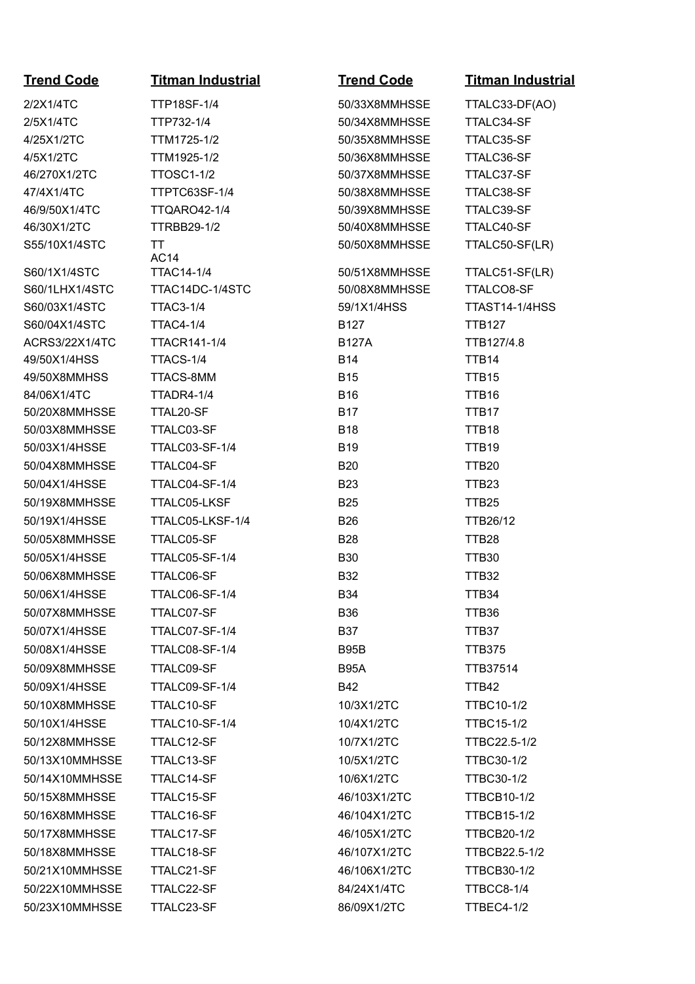**Trend Code Titman Industrial Trend Code Titman Industrial** 2/2X1/4TC TTP18SF-1/4 50/33X8MMHSSE TTALC33-DF(AO) 2/5X1/4TC TTP732-1/4 50/34X8MMHSSE TTALC34-SF 4/25X1/2TC TTM1725-1/2 50/35X8MMHSSE TTALC35-SF 4/5X1/2TC TTM1925-1/2 50/36X8MMHSSE TTALC36-SF 46/270X1/2TC TTOSC1-1/2 50/37X8MMHSSE TTALC37-SF 47/4X1/4TC TTPTC63SF-1/4 50/38X8MMHSSE TTALC38-SF 46/9/50X1/4TC TTQARO42-1/4 50/39X8MMHSSE TTALC39-SF 46/30X1/2TC TTRBB29-1/2 50/40X8MMHSSE TTALC40-SF S55/10X1/4STC TT AC14 S60/1X1/4STC TTAC14-1/4 50/51X8MMHSSE TTALC51-SF(LR) S60/1LHX1/4STC TTAC14DC-1/4STC 50/08X8MMHSSE TTALCO8-SF S60/03X1/4STC TTAC3-1/4 59/1X1/4HSS TTAST14-1/4HSS S60/04X1/4STC TTAC4-1/4 B127 B127 TTB127 ACRS3/22X1/4TC TTACR141-1/4 B127A TTB127/4.8 49/50X1/4HSS TTACS-1/4 B14 TTB14 49/50X8MMHSS TTACS-8MM B15 B15 TTB15 84/06X1/4TC TTADR4-1/4 B16 TTB16 50/20X8MMHSSE TTAL20-SF B17 B17 TTB17 50/03X8MMHSSE TTALC03-SF B18 B18 TTB18 50/03X1/4HSSE TTALC03-SF-1/4 B19 TTB19 50/04X8MMHSSE TTALC04-SF B20 TTB20 50/04X1/4HSSE TTALC04-SF-1/4 B23 TTB23 50/19X8MMHSSE TTALC05-LKSF B25 TTB25 50/19X1/4HSSE TTALC05-LKSF-1/4 B26 TTB26/12 50/05X8MMHSSE TTALC05-SF B28 TTB28 50/05X1/4HSSE TTALC05-SF-1/4 B30 TTB30 50/06X8MMHSSE TTALC06-SF B32 TTB32 50/06X1/4HSSE TTALC06-SF-1/4 B34 TTB34 50/07X8MMHSSE TTALC07-SF B36 B36 TTB36 50/07X1/4HSSE TTALC07-SF-1/4 B37 TTB37 50/08X1/4HSSE TTALC08-SF-1/4 B95B TTB375 50/09X8MMHSSE TTALC09-SF B95A TTB37514 50/09X1/4HSSE TTALC09-SF-1/4 B42 TTB42 50/10X8MMHSSE TTALC10-SF 10/3X1/2TC TTBC10-1/2 50/10X1/4HSSE TTALC10-SF-1/4 10/4X1/2TC TTBC15-1/2 50/12X8MMHSSE TTALC12-SF 10/7X1/2TC TTBC22.5-1/2 50/13X10MMHSSE TTALC13-SF 10/5X1/2TC TTBC30-1/2 50/14X10MMHSSE TTALC14-SF 10/6X1/2TC TTBC30-1/2 50/15X8MMHSSE TTALC15-SF 46/103X1/2TC TTBCB10-1/2 50/16X8MMHSSE TTALC16-SF 46/104X1/2TC TTBCB15-1/2 50/17X8MMHSSE TTALC17-SF 46/105X1/2TC TTBCB20-1/2 50/18X8MMHSSE TTALC18-SF 46/107X1/2TC TTBCB22.5-1/2 50/21X10MMHSSE TTALC21-SF 46/106X1/2TC TTBCB30-1/2 50/22X10MMHSSE TTALC22-SF 84/24X1/4TC TTBCC8-1/4 50/23X10MMHSSE TTALC23-SF 86/09X1/2TC TTBEC4-1/2

50/50X8MMHSSE TTALC50-SF(LR)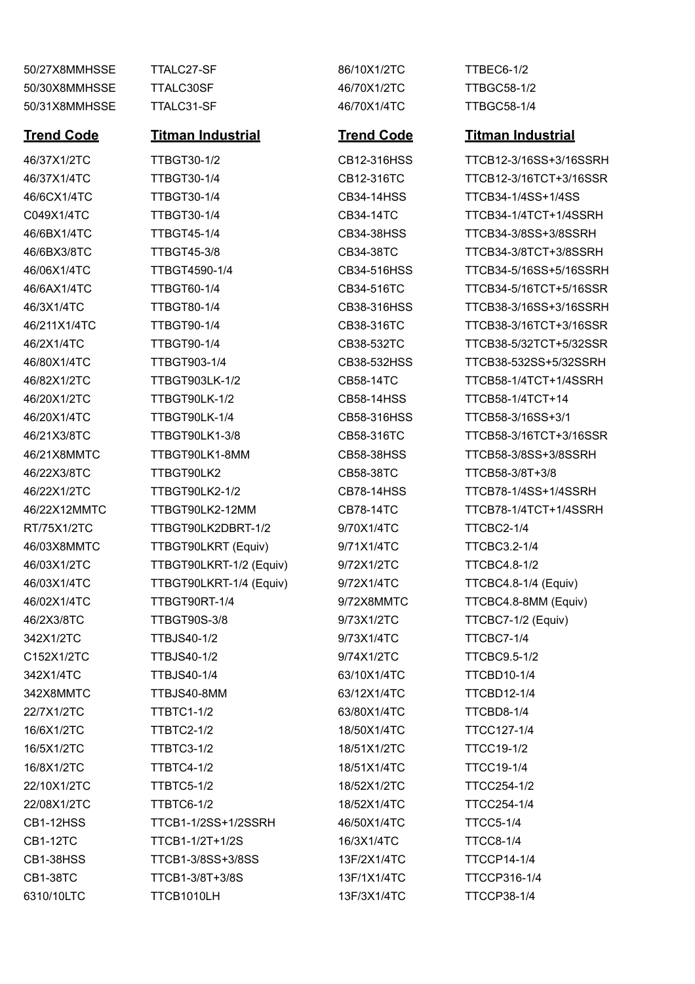50/27X8MMHSSE TTALC27-SF 86/10X1/2TC TTBEC6-1/2 50/30X8MMHSSE TTALC30SF 46/70X1/2TC TTBGC58-1/2 50/31X8MMHSSE TTALC31-SF 46/70X1/4TC TTBGC58-1/4

46/6CX1/4TC TTBGT30-1/4 CB34-14HSS TTCB34-1/4SS+1/4SS 46/20X1/2TC TTBGT90LK-1/2 CB58-14HSS TTCB58-1/4TCT+14 46/20X1/4TC TTBGT90LK-1/4 CB58-316HSS TTCB58-3/16SS+3/1 46/22X3/8TC TTBGT90LK2 CB58-38TC TTCB58-3/8T+3/8 RT/75X1/2TC TTBGT90LK2DBRT-1/2 9/70X1/4TC TTCBC2-1/4 46/03X8MMTC TTBGT90LKRT (Equiv) 9/71X1/4TC TTCBC3.2-1/4 46/03X1/2TC TTBGT90LKRT-1/2 (Equiv) 9/72X1/2TC TTCBC4.8-1/2 46/03X1/4TC TTBGT90LKRT-1/4 (Equiv) 9/72X1/4TC TTCBC4.8-1/4 (Equiv) 46/2X3/8TC TTBGT90S-3/8 9/73X1/2TC TTCBC7-1/2 (Equiv) 342X1/2TC TTBJS40-1/2 9/73X1/4TC TTCBC7-1/4 C152X1/2TC TTBJS40-1/2 9/74X1/2TC TTCBC9.5-1/2 342X1/4TC TTBJS40-1/4 63/10X1/4TC TTCBD10-1/4 342X8MMTC TTBJS40-8MM 63/12X1/4TC TTCBD12-1/4 22/7X1/2TC TTBTC1-1/2 63/80X1/4TC TTCBD8-1/4 16/6X1/2TC TTBTC2-1/2 18/50X1/4TC TTCC127-1/4 16/5X1/2TC TTBTC3-1/2 18/51X1/2TC TTCC19-1/2 16/8X1/2TC TTBTC4-1/2 18/51X1/4TC TTCC19-1/4 22/10X1/2TC TTBTC5-1/2 18/52X1/2TC TTCC254-1/2 22/08X1/2TC TTBTC6-1/2 18/52X1/4TC TTCC254-1/4 CB1-12HSS TTCB1-1/2SS+1/2SSRH 46/50X1/4TC TTCC5-1/4 CB1-12TC TTCB1-1/2T+1/2S 16/3X1/4TC TTCC8-1/4 CB1-38HSS TTCB1-3/8SS+3/8SS 13F/2X1/4TC TTCCP14-1/4 CB1-38TC TTCB1-3/8T+3/8S 13F/1X1/4TC TTCCP316-1/4 6310/10LTC TTCB1010LH 13F/3X1/4TC TTCCP38-1/4

### **Trend Code Titman Industrial Trend Code Titman Industrial**

46/37X1/2TC TTBGT30-1/2 CB12-316HSS TTCB12-3/16SS+3/16SSRH 46/37X1/4TC TTBGT30-1/4 CB12-316TC TTCB12-3/16TCT+3/16SSR C049X1/4TC TTBGT30-1/4 CB34-14TC TTCB34-1/4TCT+1/4SSRH 46/6BX1/4TC TTBGT45-1/4 CB34-38HSS TTCB34-3/8SS+3/8SSRH 46/6BX3/8TC TTBGT45-3/8 CB34-38TC TTCB34-3/8TCT+3/8SSRH 46/06X1/4TC TTBGT4590-1/4 CB34-516HSS TTCB34-5/16SS+5/16SSRH 46/6AX1/4TC TTBGT60-1/4 CB34-516TC TTCB34-5/16TCT+5/16SSR 46/3X1/4TC TTBGT80-1/4 CB38-316HSS TTCB38-3/16SS+3/16SSRH 46/211X1/4TC TTBGT90-1/4 CB38-316TC TTCB38-3/16TCT+3/16SSR 46/2X1/4TC TTBGT90-1/4 CB38-532TC TTCB38-5/32TCT+5/32SSR 46/80X1/4TC TTBGT903-1/4 CB38-532HSS TTCB38-532SS+5/32SSRH 46/82X1/2TC TTBGT903LK-1/2 CB58-14TC TTCB58-1/4TCT+1/4SSRH 46/21X3/8TC TTBGT90LK1-3/8 CB58-316TC TTCB58-3/16TCT+3/16SSR 46/21X8MMTC TTBGT90LK1-8MM CB58-38HSS TTCB58-3/8SS+3/8SSRH 46/22X1/2TC TTBGT90LK2-1/2 CB78-14HSS TTCB78-1/4SS+1/4SSRH 46/22X12MMTC TTBGT90LK2-12MM CB78-14TC TTCB78-1/4TCT+1/4SSRH 46/02X1/4TC TTBGT90RT-1/4 9/72X8MMTC TTCBC4.8-8MM (Equiv)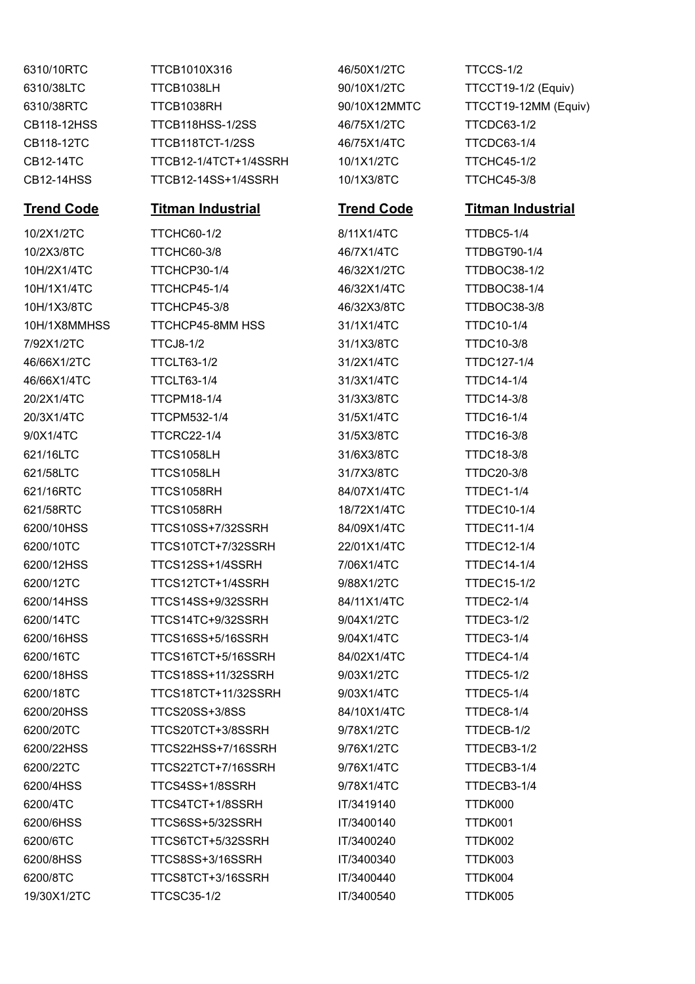6310/10RTC TTCB1010X316 46/50X1/2TC TTCCS-1/2 6310/38LTC TTCB1038LH 90/10X1/2TC TTCCT19-1/2 (Equiv) 6310/38RTC TTCB1038RH 90/10X12MMTC TTCCT19-12MM (Equiv) CB118-12HSS TTCB118HSS-1/2SS 46/75X1/2TC TTCDC63-1/2 CB118-12TC TTCB118TCT-1/2SS 46/75X1/4TC TTCDC63-1/4 CB12-14TC TTCB12-1/4TCT+1/4SSRH 10/1X1/2TC TTCHC45-1/2 CB12-14HSS TTCB12-14SS+1/4SSRH 10/1X3/8TC TTCHC45-3/8

## **Trend Code Titman Industrial Trend Code Titman Industrial**

10/2X1/2TC TTCHC60-1/2 8/11X1/4TC TTDBC5-1/4 10/2X3/8TC TTCHC60-3/8 46/7X1/4TC TTDBGT90-1/4 10H/2X1/4TC TTCHCP30-1/4 46/32X1/2TC TTDBOC38-1/2 10H/1X1/4TC TTCHCP45-1/4 46/32X1/4TC TTDBOC38-1/4 10H/1X3/8TC TTCHCP45-3/8 46/32X3/8TC TTDBOC38-3/8 10H/1X8MMHSS TTCHCP45-8MM HSS 31/1X1/4TC TTDC10-1/4 7/92X1/2TC TTCJ8-1/2 31/1X3/8TC TTDC10-3/8 46/66X1/2TC TTCLT63-1/2 31/2X1/4TC TTDC127-1/4 46/66X1/4TC TTCLT63-1/4 31/3X1/4TC TTDC14-1/4 20/2X1/4TC TTCPM18-1/4 31/3X3/8TC TTDC14-3/8 20/3X1/4TC TTCPM532-1/4 31/5X1/4TC TTDC16-1/4 9/0X1/4TC TTCRC22-1/4 31/5X3/8TC TTDC16-3/8 621/16LTC TTCS1058LH 31/6X3/8TC TTDC18-3/8 621/58LTC TTCS1058LH 31/7X3/8TC TTDC20-3/8 621/16RTC TTCS1058RH 84/07X1/4TC TTDEC1-1/4 621/58RTC TTCS1058RH 18/72X1/4TC TTDEC10-1/4 6200/10HSS TTCS10SS+7/32SSRH 84/09X1/4TC TTDEC11-1/4 6200/10TC TTCS10TCT+7/32SSRH 22/01X1/4TC TTDEC12-1/4 6200/12HSS TTCS12SS+1/4SSRH 7/06X1/4TC TTDEC14-1/4 6200/12TC TTCS12TCT+1/4SSRH 9/88X1/2TC TTDEC15-1/2 6200/14HSS TTCS14SS+9/32SSRH 84/11X1/4TC TTDEC2-1/4 6200/14TC TTCS14TC+9/32SSRH 9/04X1/2TC TTDEC3-1/2 6200/16HSS TTCS16SS+5/16SSRH 9/04X1/4TC TTDEC3-1/4 6200/16TC TTCS16TCT+5/16SSRH 84/02X1/4TC TTDEC4-1/4 6200/18HSS TTCS18SS+11/32SSRH 9/03X1/2TC TTDEC5-1/2 6200/18TC TTCS18TCT+11/32SSRH 9/03X1/4TC TTDEC5-1/4 6200/20HSS TTCS20SS+3/8SS 84/10X1/4TC TTDEC8-1/4 6200/20TC TTCS20TCT+3/8SSRH 9/78X1/2TC TTDECB-1/2 6200/22HSS TTCS22HSS+7/16SSRH 9/76X1/2TC TTDECB3-1/2 6200/22TC TTCS22TCT+7/16SSRH 9/76X1/4TC TTDECB3-1/4 6200/4HSS TTCS4SS+1/8SSRH 9/78X1/4TC TTDECB3-1/4 6200/4TC TTCS4TCT+1/8SSRH IT/3419140 TTDK000 6200/6HSS TTCS6SS+5/32SSRH IT/3400140 TTDK001 6200/6TC TTCS6TCT+5/32SSRH IT/3400240 TTDK002 6200/8HSS TTCS8SS+3/16SSRH IT/3400340 TTDK003 6200/8TC TTCS8TCT+3/16SSRH IT/3400440 TTDK004 19/30X1/2TC TTCSC35-1/2 IT/3400540 TTDK005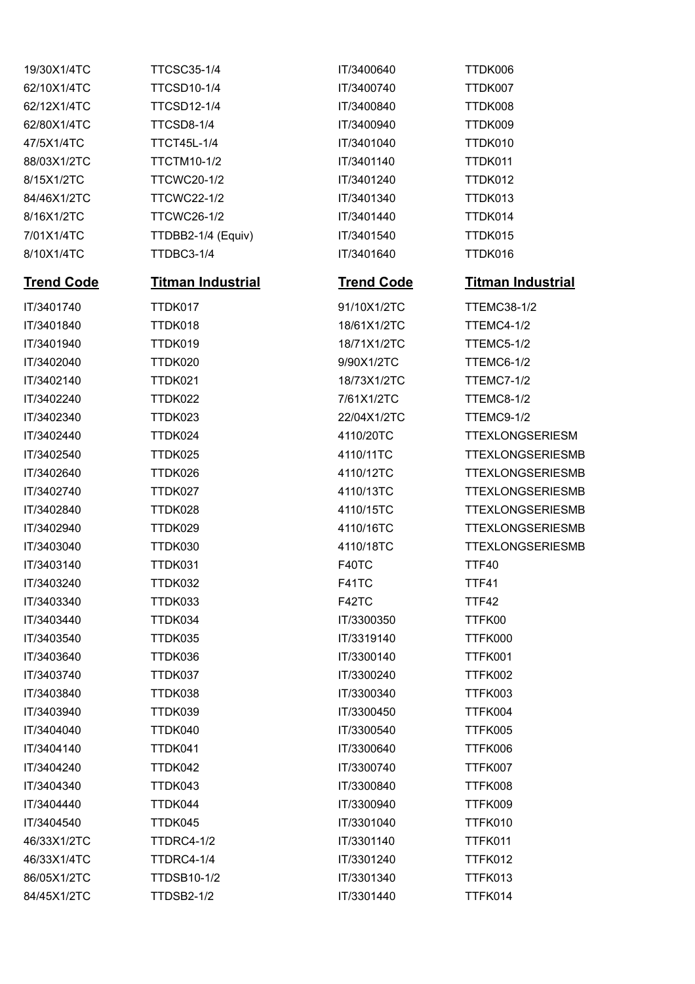| <b>TTCSC35-1/4</b>       | IT/3400640        | TTDK006                  |
|--------------------------|-------------------|--------------------------|
| <b>TTCSD10-1/4</b>       | IT/3400740        | TTDK007                  |
| <b>TTCSD12-1/4</b>       | IT/3400840        | TTDK008                  |
| <b>TTCSD8-1/4</b>        | IT/3400940        | TTDK009                  |
| <b>TTCT45L-1/4</b>       | IT/3401040        | TTDK010                  |
| <b>TTCTM10-1/2</b>       | IT/3401140        | TTDK011                  |
| <b>TTCWC20-1/2</b>       | IT/3401240        | TTDK012                  |
| <b>TTCWC22-1/2</b>       | IT/3401340        | TTDK013                  |
| <b>TTCWC26-1/2</b>       | IT/3401440        | TTDK014                  |
| TTDBB2-1/4 (Equiv)       | IT/3401540        | TTDK015                  |
| TTDBC3-1/4               | IT/3401640        | TTDK016                  |
| <b>Titman Industrial</b> | <b>Trend Code</b> | <b>Titman Industrial</b> |
| TTDK017                  | 91/10X1/2TC       | <b>TTEMC38-1/2</b>       |
| TTDK018                  | 18/61X1/2TC       | <b>TTEMC4-1/2</b>        |
| TTDK019                  | 18/71X1/2TC       | TTEMC5-1/2               |
| TTDK020                  | 9/90X1/2TC        | TTEMC6-1/2               |
| TTDK021                  | 18/73X1/2TC       | <b>TTEMC7-1/2</b>        |
| TTDK022                  | 7/61X1/2TC        | TTEMC8-1/2               |
| TTDK023                  | 22/04X1/2TC       | TTEMC9-1/2               |
| TTDK024                  | 4110/20TC         | <b>TTEXLONGSERIESM</b>   |
| TTDK025                  | 4110/11TC         | <b>TTEXLONGSERIESMB</b>  |
| TTDK026                  | 4110/12TC         | <b>TTEXLONGSERIESMB</b>  |
| TTDK027                  | 4110/13TC         | <b>TTEXLONGSERIESMB</b>  |
| TTDK028                  | 4110/15TC         | <b>TTEXLONGSERIESMB</b>  |
| TTDK029                  | 4110/16TC         | <b>TTEXLONGSERIESMB</b>  |
| TTDK030                  | 4110/18TC         | <b>TTEXLONGSERIESMB</b>  |
| TTDK031                  | F40TC             | <b>TTF40</b>             |
| TTDK032                  | F41TC             | <b>TTF41</b>             |
| TTDK033                  | F42TC             | TTF42                    |
| TTDK034                  | IT/3300350        | TTFK00                   |
| TTDK035                  | IT/3319140        | TTFK000                  |
| TTDK036                  | IT/3300140        | TTFK001                  |
| TTDK037                  | IT/3300240        | TTFK002                  |
| TTDK038                  | IT/3300340        | TTFK003                  |
| TTDK039                  | IT/3300450        | TTFK004                  |
| TTDK040                  | IT/3300540        | TTFK005                  |
| TTDK041                  | IT/3300640        | TTFK006                  |
| TTDK042                  | IT/3300740        | TTFK007                  |
| TTDK043                  | IT/3300840        | TTFK008                  |
| TTDK044                  | IT/3300940        | TTFK009                  |
| TTDK045                  | IT/3301040        | TTFK010                  |
| <b>TTDRC4-1/2</b>        | IT/3301140        | TTFK011                  |
| TTDRC4-1/4               | IT/3301240        | TTFK012                  |
| TTDSB10-1/2              | IT/3301340        | TTFK013                  |
| <b>TTDSB2-1/2</b>        | IT/3301440        | TTFK014                  |
|                          |                   |                          |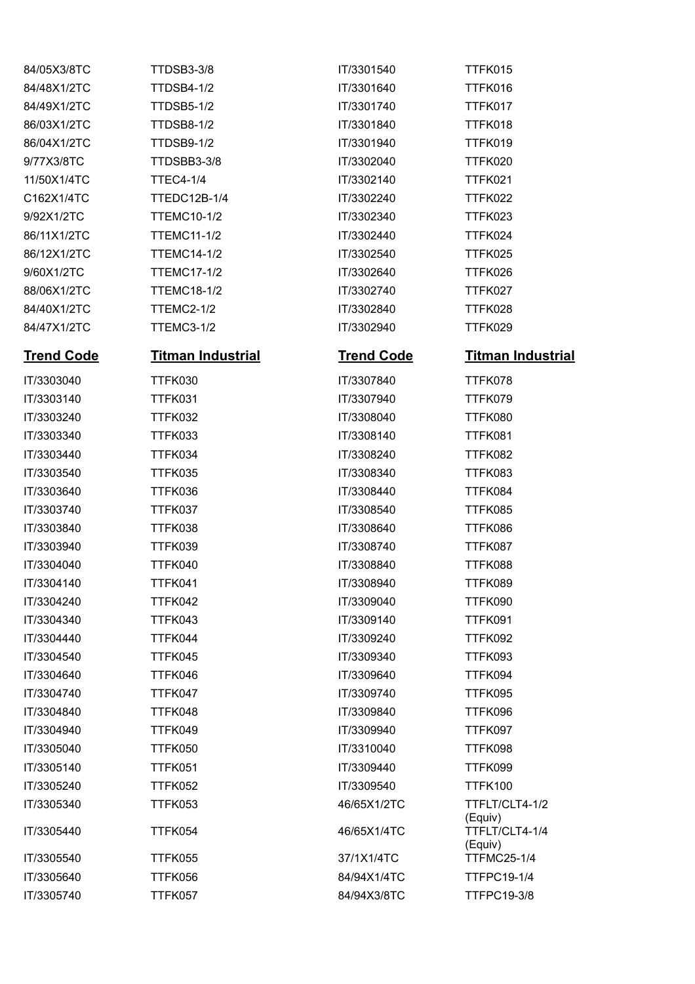| 84/05X3/8TC       | TTDSB3-3/8               | IT/3301540        | TTFK015                   |
|-------------------|--------------------------|-------------------|---------------------------|
| 84/48X1/2TC       | <b>TTDSB4-1/2</b>        | IT/3301640        | TTFK016                   |
| 84/49X1/2TC       | <b>TTDSB5-1/2</b>        | IT/3301740        | TTFK017                   |
| 86/03X1/2TC       | <b>TTDSB8-1/2</b>        | IT/3301840        | TTFK018                   |
| 86/04X1/2TC       | TTDSB9-1/2               | IT/3301940        | TTFK019                   |
| 9/77X3/8TC        | TTDSBB3-3/8              | IT/3302040        | TTFK020                   |
| 11/50X1/4TC       | <b>TTEC4-1/4</b>         | IT/3302140        | TTFK021                   |
| C162X1/4TC        | TTEDC12B-1/4             | IT/3302240        | TTFK022                   |
| 9/92X1/2TC        | <b>TTEMC10-1/2</b>       | IT/3302340        | TTFK023                   |
| 86/11X1/2TC       | <b>TTEMC11-1/2</b>       | IT/3302440        | TTFK024                   |
| 86/12X1/2TC       | <b>TTEMC14-1/2</b>       | IT/3302540        | TTFK025                   |
| 9/60X1/2TC        | <b>TTEMC17-1/2</b>       | IT/3302640        | TTFK026                   |
| 88/06X1/2TC       | <b>TTEMC18-1/2</b>       | IT/3302740        | TTFK027                   |
| 84/40X1/2TC       | TTEMC2-1/2               | IT/3302840        | TTFK028                   |
| 84/47X1/2TC       | TTEMC3-1/2               | IT/3302940        | TTFK029                   |
| <b>Trend Code</b> | <u>Titman Industrial</u> | <b>Trend Code</b> | <b>Titman Industrial</b>  |
| IT/3303040        | TTFK030                  | IT/3307840        | TTFK078                   |
| IT/3303140        | TTFK031                  | IT/3307940        | TTFK079                   |
| IT/3303240        | TTFK032                  | IT/3308040        | TTFK080                   |
| IT/3303340        | TTFK033                  | IT/3308140        | TTFK081                   |
| IT/3303440        | TTFK034                  | IT/3308240        | TTFK082                   |
| IT/3303540        | TTFK035                  | IT/3308340        | TTFK083                   |
| IT/3303640        | TTFK036                  | IT/3308440        | TTFK084                   |
| IT/3303740        | TTFK037                  | IT/3308540        | TTFK085                   |
| IT/3303840        | TTFK038                  | IT/3308640        | TTFK086                   |
| IT/3303940        | TTFK039                  | IT/3308740        | TTFK087                   |
| IT/3304040        | TTFK040                  | IT/3308840        | TTFK088                   |
| IT/3304140        | TTFK041                  | IT/3308940        | TTFK089                   |
| IT/3304240        | TTFK042                  | IT/3309040        | TTFK090                   |
| IT/3304340        | TTFK043                  | IT/3309140        | TTFK091                   |
| IT/3304440        | TTFK044                  | IT/3309240        | TTFK092                   |
| IT/3304540        | TTFK045                  | IT/3309340        | TTFK093                   |
| IT/3304640        | TTFK046                  | IT/3309640        | TTFK094                   |
| IT/3304740        | TTFK047                  | IT/3309740        | TTFK095                   |
| IT/3304840        | TTFK048                  | IT/3309840        | TTFK096                   |
| IT/3304940        | TTFK049                  | IT/3309940        | TTFK097                   |
| IT/3305040        | TTFK050                  | IT/3310040        | TTFK098                   |
| IT/3305140        | TTFK051                  | IT/3309440        | TTFK099                   |
| IT/3305240        | TTFK052                  | IT/3309540        | <b>TTFK100</b>            |
| IT/3305340        | TTFK053                  | 46/65X1/2TC       | TTFLT/CLT4-1/2<br>(Equiv) |
| IT/3305440        | TTFK054                  | 46/65X1/4TC       | TTFLT/CLT4-1/4<br>(Equiv) |
| IT/3305540        | <b>TTFK055</b>           | 37/1X1/4TC        | <b>TTFMC25-1/4</b>        |
| IT/3305640        | TTFK056                  | 84/94X1/4TC       | <b>TTFPC19-1/4</b>        |
| IT/3305740        | TTFK057                  | 84/94X3/8TC       | <b>TTFPC19-3/8</b>        |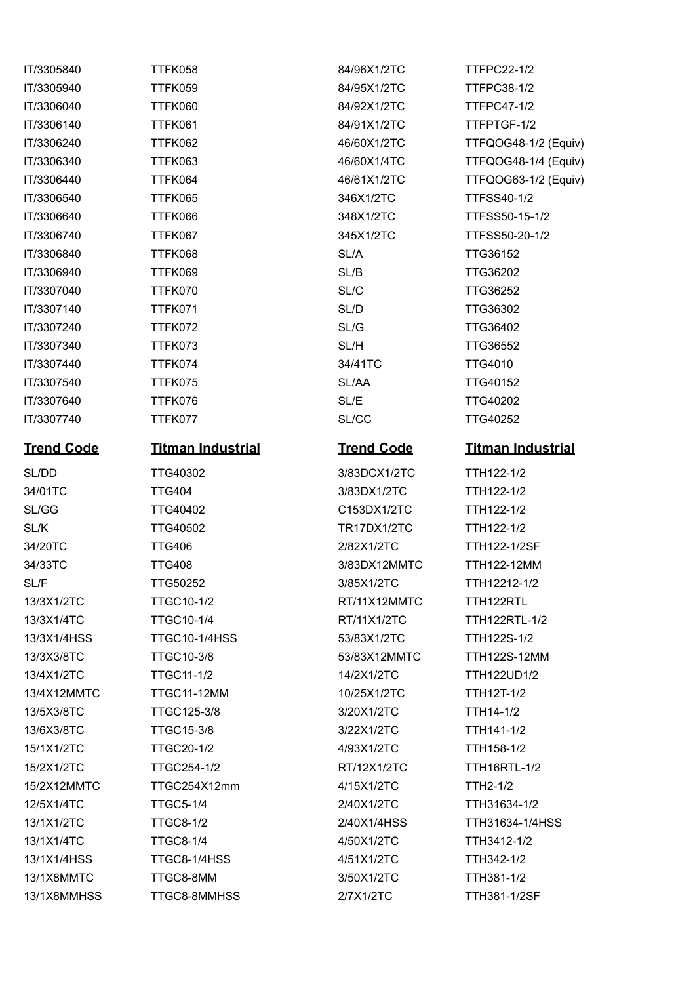| 1170000 <del>1</del> 0 | ,,,,,,,,,                | 071 JUAN 114       | I II I ULL-IIL      |
|------------------------|--------------------------|--------------------|---------------------|
| IT/3305940             | TTFK059                  | 84/95X1/2TC        | <b>TTFPC38-1/2</b>  |
| IT/3306040             | TTFK060                  | 84/92X1/2TC        | <b>TTFPC47-1/2</b>  |
| IT/3306140             | TTFK061                  | 84/91X1/2TC        | TTFPTGF-1/2         |
| IT/3306240             | TTFK062                  | 46/60X1/2TC        | <b>TTFQOG48-1/2</b> |
| IT/3306340             | TTFK063                  | 46/60X1/4TC        | <b>TTFQOG48-1/4</b> |
| IT/3306440             | TTFK064                  | 46/61X1/2TC        | <b>TTFQOG63-1/2</b> |
| IT/3306540             | TTFK065                  | 346X1/2TC          | <b>TTFSS40-1/2</b>  |
| IT/3306640             | TTFK066                  | 348X1/2TC          | <b>TTFSS50-15-1</b> |
| IT/3306740             | TTFK067                  | 345X1/2TC          | TTFSS50-20-1        |
| IT/3306840             | TTFK068                  | SL/A               | <b>TTG36152</b>     |
| IT/3306940             | TTFK069                  | SL/B               | TTG36202            |
| IT/3307040             | TTFK070                  | SL/C               | TTG36252            |
| IT/3307140             | TTFK071                  | SL/D               | TTG36302            |
| IT/3307240             | TTFK072                  | SL/G               | TTG36402            |
| IT/3307340             | TTFK073                  | SL/H               | <b>TTG36552</b>     |
| IT/3307440             | TTFK074                  | 34/41TC            | <b>TTG4010</b>      |
| IT/3307540             | TTFK075                  | SL/AA              | <b>TTG40152</b>     |
| IT/3307640             | TTFK076                  | SL/E               | <b>TTG40202</b>     |
| IT/3307740             | TTFK077                  | SL/CC              | <b>TTG40252</b>     |
| <b>Trend Code</b>      | <b>Titman Industrial</b> | <b>Trend Code</b>  | <b>Titman Indu</b>  |
| SL/DD                  | TTG40302                 | 3/83DCX1/2TC       | TTH122-1/2          |
| 34/01TC                | <b>TTG404</b>            | 3/83DX1/2TC        | TTH122-1/2          |
| SL/GG                  | TTG40402                 | C153DX1/2TC        | TTH122-1/2          |
| SL/K                   | TTG40502                 | <b>TR17DX1/2TC</b> | TTH122-1/2          |
| 34/20TC                | <b>TTG406</b>            | 2/82X1/2TC         | <b>TTH122-1/2SF</b> |
| 34/33TC                | <b>TTG408</b>            | 3/83DX12MMTC       | <b>TTH122-12MM</b>  |
| SL/F                   | TTG50252                 | 3/85X1/2TC         | TTH12212-1/2        |
| 13/3X1/2TC             | <b>TTGC10-1/2</b>        | RT/11X12MMTC       | TTH122RTL           |
| 13/3X1/4TC             | <b>TTGC10-1/4</b>        | RT/11X1/2TC        | TTH122RTL-1/        |
| 13/3X1/4HSS            | TTGC10-1/4HSS            | 53/83X1/2TC        | <b>TTH122S-1/2</b>  |
| 13/3X3/8TC             | <b>TTGC10-3/8</b>        | 53/83X12MMTC       | <b>TTH122S-12M</b>  |
| 13/4X1/2TC             | <b>TTGC11-1/2</b>        | 14/2X1/2TC         | TTH122UD1/2         |
| 13/4X12MMTC            | <b>TTGC11-12MM</b>       | 10/25X1/2TC        | <b>TTH12T-1/2</b>   |
| 13/5X3/8TC             | TTGC125-3/8              | 3/20X1/2TC         | TTH14-1/2           |
| 13/6X3/8TC             | <b>TTGC15-3/8</b>        | 3/22X1/2TC         | TTH141-1/2          |
| 15/1X1/2TC             | <b>TTGC20-1/2</b>        | 4/93X1/2TC         | TTH158-1/2          |
| 15/2X1/2TC             | TTGC254-1/2              | RT/12X1/2TC        | TTH16RTL-1/2        |
| 15/2X12MMTC            | TTGC254X12mm             | 4/15X1/2TC         | TTH2-1/2            |
| 12/5X1/4TC             | <b>TTGC5-1/4</b>         | 2/40X1/2TC         | TTH31634-1/2        |
| 13/1X1/2TC             | <b>TTGC8-1/2</b>         | 2/40X1/4HSS        | TTH31634-1/4I       |
| 13/1X1/4TC             | <b>TTGC8-1/4</b>         | 4/50X1/2TC         | TTH3412-1/2         |
| 13/1X1/4HSS            | TTGC8-1/4HSS             | 4/51X1/2TC         | TTH342-1/2          |
| 13/1X8MMTC             | TTGC8-8MM                | 3/50X1/2TC         | TTH381-1/2          |
| 13/1X8MMHSS            | TTGC8-8MMHSS             | 2/7X1/2TC          | <b>TTH381-1/2SF</b> |

84/91X1/2TC TTFPTGF-1/2 IT/3306540 TTFK065 346X1/2TC TTFSS40-1/2 **INGC** TTG40252 3/83DCX1/2TC TTH122-1/2 3/83DX1/2TC TTH122-1/2 C153DX1/2TC TTH122-1/2 TR17DX1/2TC TTH122-1/2 34/20TC TTG406 2/82X1/2TC TTH122-1/2SF 3/83DX12MMTC TTH122-12MM 3/85X1/2TC TTH12212-1/2 RT/11X12MMTC TTH122RTL RT/11X1/2TC TTH122RTL-1/2 53/83X1/2TC TTH122S-1/2 14/2X1/2TC TTH122UD1/2 10/25X1/2TC TTH12T-1/2 13/6X3/8TC TTGC15-3/8 3/22X1/2TC TTH141-1/2 RT/12X1/2TC TTH16RTL-1/2 2/40X1/2TC TTH31634-1/2 4/51X1/2TC TTH342-1/2

IT/3305840 TTFK058 84/96X1/2TC TTFPC22-1/2 84/95X1/2TC TTFPC38-1/2 84/92X1/2TC TTFPC47-1/2 46/60X1/2TC TTFQOG48-1/2 (Equiv) 46/60X1/4TC TTFQOG48-1/4 (Equiv) 46/61X1/2TC TTFQOG63-1/2 (Equiv) IT/3306640 TTFK066 348X1/2TC TTFSS50-15-1/2 IT/3306740 TTFK067 345X1/2TC TTFSS50-20-1/2

## **Trend Code Titman Industrial Trend Code Titman Industrial**

53/83X12MMTC TTH122S-12MM 13/1X1/2TC TTGC8-1/2 2/40X1/4HSS TTH31634-1/4HSS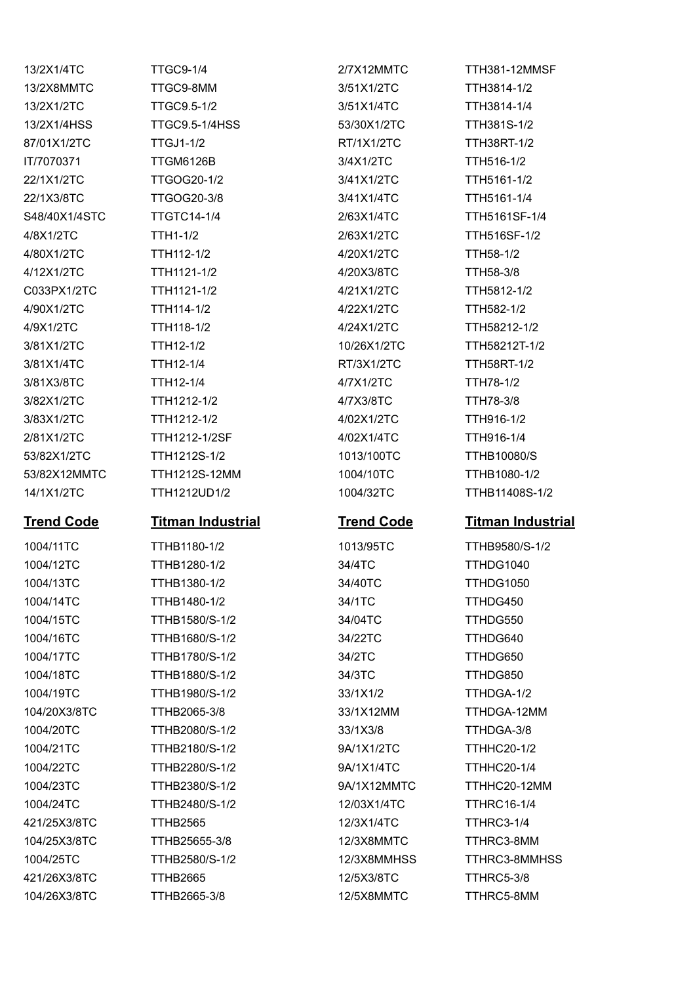13/2X8MMTC TTGC9-8MM 3/51X1/2TC TTH3814-1/2 13/2X1/2TC TTGC9.5-1/2 3/51X1/4TC TTH3814-1/4 13/2X1/4HSS TTGC9.5-1/4HSS 53/30X1/2TC TTH381S-1/2 87/01X1/2TC TTGJ1-1/2 RT/1X1/2TC TTH38RT-1/2 IT/7070371 TTGM6126B 3/4X1/2TC TTH516-1/2 22/1X1/2TC TTGOG20-1/2 3/41X1/2TC TTH5161-1/2 22/1X3/8TC TTGOG20-3/8 3/41X1/4TC TTH5161-1/4 S48/40X1/4STC TTGTC14-1/4 2/63X1/4TC TTH5161SF-1/4 4/8X1/2TC TTH1-1/2 2/63X1/2TC TTH516SF-1/2 4/80X1/2TC TTH112-1/2 4/20X1/2TC TTH58-1/2 4/12X1/2TC TTH1121-1/2 4/20X3/8TC TTH58-3/8 C033PX1/2TC TTH1121-1/2 4/21X1/2TC TTH5812-1/2 4/90X1/2TC TTH114-1/2 4/22X1/2TC TTH582-1/2 4/9X1/2TC TTH118-1/2 4/24X1/2TC TTH58212-1/2 3/81X1/2TC TTH12-1/2 10/26X1/2TC TTH58212T-1/2 3/81X1/4TC TTH12-1/4 RT/3X1/2TC TTH58RT-1/2 3/81X3/8TC TTH12-1/4 4/7X1/2TC TTH78-1/2 3/82X1/2TC TTH1212-1/2 4/7X3/8TC TTH78-3/8 3/83X1/2TC TTH1212-1/2 4/02X1/2TC TTH916-1/2 2/81X1/2TC TTH1212-1/2SF 4/02X1/4TC TTH916-1/4 53/82X1/2TC TTH1212S-1/2 1013/100TC TTHB10080/S 53/82X12MMTC TTH1212S-12MM 1004/10TC TTHB1080-1/2

13/2X1/4TC TTGC9-1/4 2/7X12MMTC TTH381-12MMSF

### **Trend Code Titman Industrial Trend Code Titman Industrial**

1004/11TC TTHB1180-1/2 1013/95TC TTHB9580/S-1/2 1004/12TC TTHB1280-1/2 34/4TC TTHDG1040 1004/13TC TTHB1380-1/2 34/40TC TTHDG1050 1004/14TC TTHB1480-1/2 34/1TC TTHDG450 1004/15TC TTHB1580/S-1/2 34/04TC TTHDG550 1004/16TC TTHB1680/S-1/2 34/22TC TTHDG640 1004/17TC TTHB1780/S-1/2 34/2TC TTHDG650 1004/18TC TTHB1880/S-1/2 34/3TC TTHDG850 1004/19TC TTHB1980/S-1/2 33/1X1/2 TTHDGA-1/2 104/20X3/8TC TTHB2065-3/8 33/1X12MM TTHDGA-12MM 1004/20TC TTHB2080/S-1/2 33/1X3/8 TTHDGA-3/8 1004/21TC TTHB2180/S-1/2 9A/1X1/2TC TTHHC20-1/2 1004/22TC TTHB2280/S-1/2 9A/1X1/4TC TTHHC20-1/4 1004/23TC TTHB2380/S-1/2 9A/1X12MMTC TTHHC20-12MM 1004/24TC TTHB2480/S-1/2 12/03X1/4TC TTHRC16-1/4 421/25X3/8TC TTHB2565 12/3X1/4TC TTHRC3-1/4 104/25X3/8TC TTHB25655-3/8 12/3X8MMTC TTHRC3-8MM 1004/25TC TTHB2580/S-1/2 12/3X8MMHSS TTHRC3-8MMHSS 421/26X3/8TC TTHB2665 12/5X3/8TC TTHRC5-3/8

14/1X1/2TC TTH1212UD1/2 1004/32TC TTHB11408S-1/2

104/26X3/8TC TTHB2665-3/8 12/5X8MMTC TTHRC5-8MM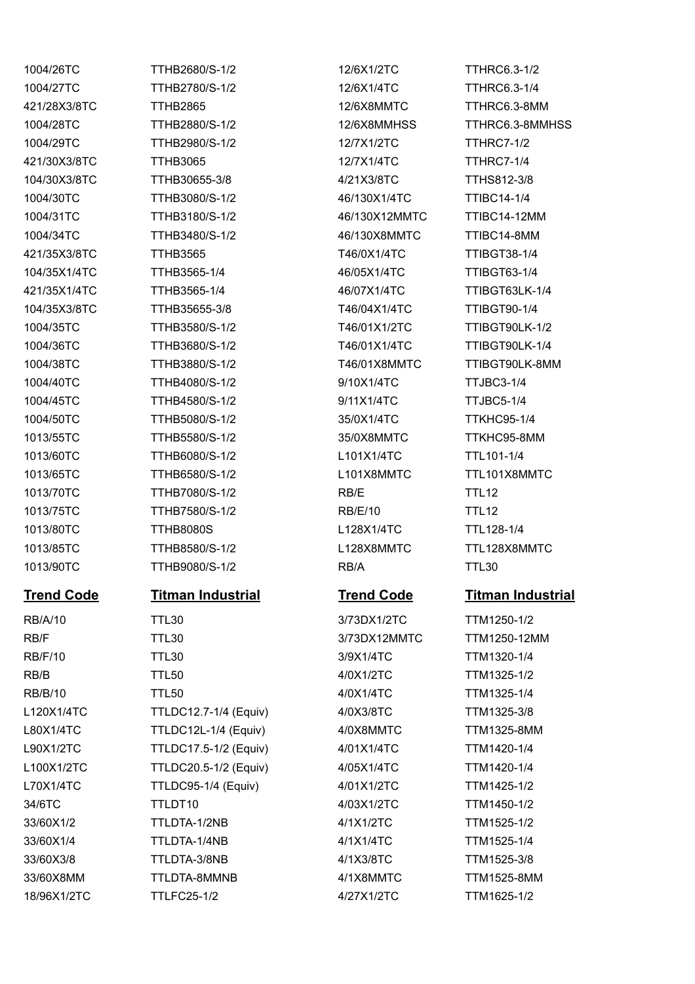1004/26TC TTHB2680/S-1/2 12/6X1/2TC TTHRC6.3-1/2 1004/27TC TTHB2780/S-1/2 12/6X1/4TC TTHRC6.3-1/4 421/28X3/8TC TTHB2865 12/6X8MMTC TTHRC6.3-8MM 1004/29TC TTHB2980/S-1/2 12/7X1/2TC TTHRC7-1/2 421/30X3/8TC TTHB3065 12/7X1/4TC TTHRC7-1/4 104/30X3/8TC TTHB30655-3/8 4/21X3/8TC TTHS812-3/8 1004/30TC TTHB3080/S-1/2 46/130X1/4TC TTIBC14-1/4 1004/31TC TTHB3180/S-1/2 46/130X12MMTC TTIBC14-12MM 1004/34TC TTHB3480/S-1/2 46/130X8MMTC TTIBC14-8MM 421/35X3/8TC TTHB3565 T46/0X1/4TC TTIBGT38-1/4 104/35X1/4TC TTHB3565-1/4 46/05X1/4TC TTIBGT63-1/4 421/35X1/4TC TTHB3565-1/4 46/07X1/4TC TTIBGT63LK-1/4 104/35X3/8TC TTHB35655-3/8 T46/04X1/4TC TTIBGT90-1/4 1004/35TC TTHB3580/S-1/2 T46/01X1/2TC TTIBGT90LK-1/2 1004/36TC TTHB3680/S-1/2 T46/01X1/4TC TTIBGT90LK-1/4 1004/38TC TTHB3880/S-1/2 T46/01X8MMTC TTIBGT90LK-8MM 1004/40TC TTHB4080/S-1/2 9/10X1/4TC TTJBC3-1/4 1004/45TC TTHB4580/S-1/2 9/11X1/4TC TTJBC5-1/4 1004/50TC TTHB5080/S-1/2 35/0X1/4TC TTKHC95-1/4 1013/55TC TTHB5580/S-1/2 35/0X8MMTC TTKHC95-8MM 1013/60TC TTHB6080/S-1/2 L101X1/4TC TTL101-1/4 1013/65TC TTHB6580/S-1/2 L101X8MMTC TTL101X8MMTC 1013/70TC TTHB7080/S-1/2 RB/E TTL12 1013/75TC TTHB7580/S-1/2 RB/E/10 TTL12 1013/80TC TTHB8080S L128X1/4TC TTL128-1/4 1013/85TC TTHB8580/S-1/2 L128X8MMTC TTL128X8MMTC 1013/90TC TTHB9080/S-1/2 RB/A TTL30

# **Trend Code Titman Industrial Trend Code Titman Industrial**

RB/A/10 TTL30 3/73DX1/2TC TTM1250-1/2 RB/F TTL30 3/73DX12MMTC TTM1250-12MM RB/F/10 TTL30 3/9X1/4TC TTM1320-1/4 RB/B TTL50 4/0X1/2TC TTM1325-1/2 RB/B/10 TTL50 4/0X1/4TC TTM1325-1/4 L120X1/4TC TTLDC12.7-1/4 (Equiv) 4/0X3/8TC TTM1325-3/8 L80X1/4TC TTLDC12L-1/4 (Equiv) 4/0X8MMTC TTM1325-8MM L90X1/2TC TTLDC17.5-1/2 (Equiv) 4/01X1/4TC TTM1420-1/4 L100X1/2TC TTLDC20.5-1/2 (Equiv) 4/05X1/4TC TTM1420-1/4 L70X1/4TC TTLDC95-1/4 (Equiv) 4/01X1/2TC TTM1425-1/2 34/6TC TTLDT10 4/03X1/2TC TTM1450-1/2 33/60X1/2 TTLDTA-1/2NB 4/1X1/2TC TTM1525-1/2 33/60X1/4 TTLDTA-1/4NB 4/1X1/4TC TTM1525-1/4 33/60X3/8 TTLDTA-3/8NB 4/1X3/8TC TTM1525-3/8 33/60X8MM TTLDTA-8MMNB 4/1X8MMTC TTM1525-8MM 18/96X1/2TC TTLFC25-1/2 4/27X1/2TC TTM1625-1/2

1004/28TC TTHB2880/S-1/2 12/6X8MMHSS TTHRC6.3-8MMHSS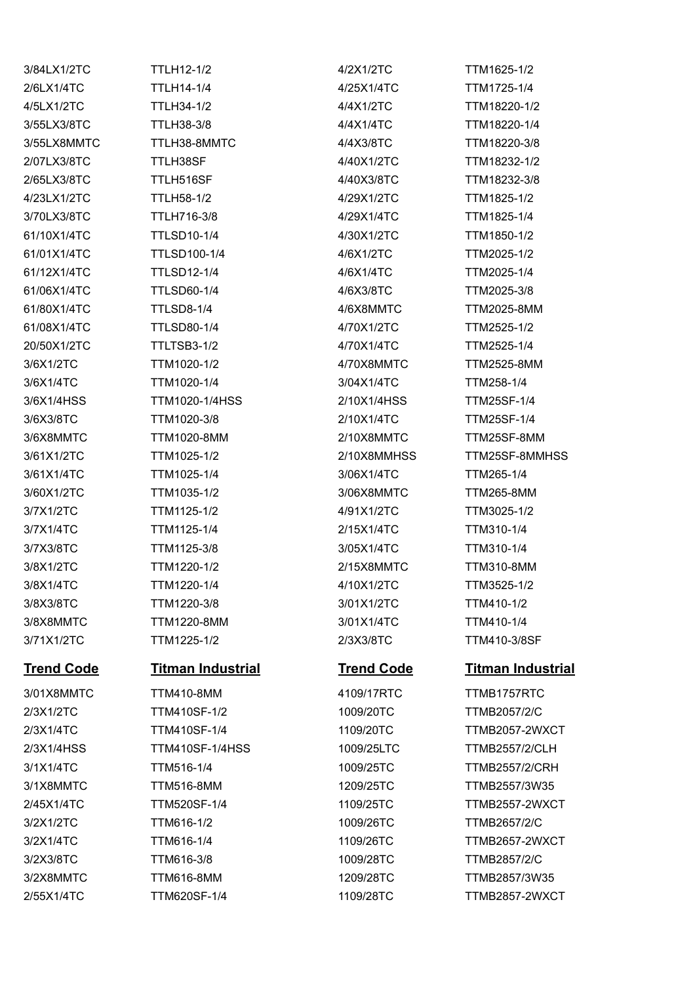| 3/84LX1/2TC             | <b>TTLH12-1/2</b>                        | 4/2X1/2TC               | TTM1625-1/2                        |
|-------------------------|------------------------------------------|-------------------------|------------------------------------|
| 2/6LX1/4TC              | <b>TTLH14-1/4</b>                        | 4/25X1/4TC              | TTM1725-1/4                        |
| 4/5LX1/2TC              | TTLH34-1/2                               | 4/4X1/2TC               | TTM18220-1/2                       |
| 3/55LX3/8TC             | <b>TTLH38-3/8</b>                        | 4/4X1/4TC               | TTM18220-1/4                       |
| 3/55LX8MMTC             | TTLH38-8MMTC                             | 4/4X3/8TC               | TTM18220-3/8                       |
| 2/07LX3/8TC             | TTLH38SF                                 | 4/40X1/2TC              | TTM18232-1/2                       |
| 2/65LX3/8TC             | TTLH516SF                                | 4/40X3/8TC              | TTM18232-3/8                       |
| 4/23LX1/2TC             | <b>TTLH58-1/2</b>                        | 4/29X1/2TC              | TTM1825-1/2                        |
| 3/70LX3/8TC             | TTLH716-3/8                              | 4/29X1/4TC              | TTM1825-1/4                        |
| 61/10X1/4TC             | <b>TTLSD10-1/4</b>                       | 4/30X1/2TC              | TTM1850-1/2                        |
| 61/01X1/4TC             | <b>TTLSD100-1/4</b>                      | 4/6X1/2TC               | TTM2025-1/2                        |
| 61/12X1/4TC             | <b>TTLSD12-1/4</b>                       | 4/6X1/4TC               | TTM2025-1/4                        |
| 61/06X1/4TC             | <b>TTLSD60-1/4</b>                       | 4/6X3/8TC               | TTM2025-3/8                        |
| 61/80X1/4TC             | <b>TTLSD8-1/4</b>                        | 4/6X8MMTC               | <b>TTM2025-8MM</b>                 |
| 61/08X1/4TC             | <b>TTLSD80-1/4</b>                       | 4/70X1/2TC              | TTM2525-1/2                        |
| 20/50X1/2TC             | TTLTSB3-1/2                              | 4/70X1/4TC              | TTM2525-1/4                        |
| 3/6X1/2TC               | TTM1020-1/2                              | 4/70X8MMTC              | <b>TTM2525-8MM</b>                 |
| 3/6X1/4TC               | TTM1020-1/4                              | 3/04X1/4TC              | TTM258-1/4                         |
| 3/6X1/4HSS              | <b>TTM1020-1/4HSS</b>                    | 2/10X1/4HSS             | <b>TTM25SF-1/4</b>                 |
| 3/6X3/8TC               | TTM1020-3/8                              | 2/10X1/4TC              | <b>TTM25SF-1/4</b>                 |
| 3/6X8MMTC               | <b>TTM1020-8MM</b>                       | 2/10X8MMTC              | TTM25SF-8MM                        |
| 3/61X1/2TC              | TTM1025-1/2                              | 2/10X8MMHSS             | TTM25SF-8MMHSS                     |
| 3/61X1/4TC              | TTM1025-1/4                              | 3/06X1/4TC              | TTM265-1/4                         |
| 3/60X1/2TC              | TTM1035-1/2                              | 3/06X8MMTC              | TTM265-8MM                         |
| 3/7X1/2TC               | TTM1125-1/2                              | 4/91X1/2TC              | TTM3025-1/2                        |
| 3/7X1/4TC               | TTM1125-1/4                              | 2/15X1/4TC              | TTM310-1/4                         |
| 3/7X3/8TC               | TTM1125-3/8                              | 3/05X1/4TC              | TTM310-1/4                         |
| 3/8X1/2TC               | TTM1220-1/2                              | 2/15X8MMTC              | <b>TTM310-8MM</b>                  |
| 3/8X1/4TC               | TTM1220-1/4                              | 4/10X1/2TC              | TTM3525-1/2                        |
| 3/8X3/8TC               | TTM1220-3/8                              | 3/01X1/2TC              | TTM410-1/2                         |
| 3/8X8MMTC               | <b>TTM1220-8MM</b>                       | 3/01X1/4TC              | TTM410-1/4                         |
| 3/71X1/2TC              | TTM1225-1/2                              | 2/3X3/8TC               | TTM410-3/8SF                       |
| <b>Trend Code</b>       | <b>Titman Industrial</b>                 | <b>Trend Code</b>       | <b>Titman Industrial</b>           |
|                         |                                          |                         |                                    |
| 3/01X8MMTC<br>2/3X1/2TC | <b>TTM410-8MM</b><br><b>TTM410SF-1/2</b> | 4109/17RTC<br>1009/20TC | TTMB1757RTC<br><b>TTMB2057/2/C</b> |
| 2/3X1/4TC               | <b>TTM410SF-1/4</b>                      | 1109/20TC               | TTMB2057-2WXCT                     |
|                         |                                          |                         |                                    |
| 2/3X1/4HSS              | <b>TTM410SF-1/4HSS</b>                   | 1009/25LTC              | <b>TTMB2557/2/CLH</b>              |
| 3/1X1/4TC               | TTM516-1/4                               | 1009/25TC               | <b>TTMB2557/2/CRH</b>              |
| 3/1X8MMTC               | <b>TTM516-8MM</b>                        | 1209/25TC               | TTMB2557/3W35                      |
| 2/45X1/4TC              | TTM520SF-1/4                             | 1109/25TC               | TTMB2557-2WXCT                     |
| 3/2X1/2TC               | TTM616-1/2                               | 1009/26TC               | <b>TTMB2657/2/C</b>                |
| 3/2X1/4TC               | TTM616-1/4                               | 1109/26TC               | TTMB2657-2WXCT                     |
| 3/2X3/8TC               | TTM616-3/8                               | 1009/28TC               | <b>TTMB2857/2/C</b>                |
| 3/2X8MMTC               | <b>TTM616-8MM</b>                        | 1209/28TC               | TTMB2857/3W35                      |

2/55X1/4TC TTM620SF-1/4 1109/28TC TTMB2857-2WXCT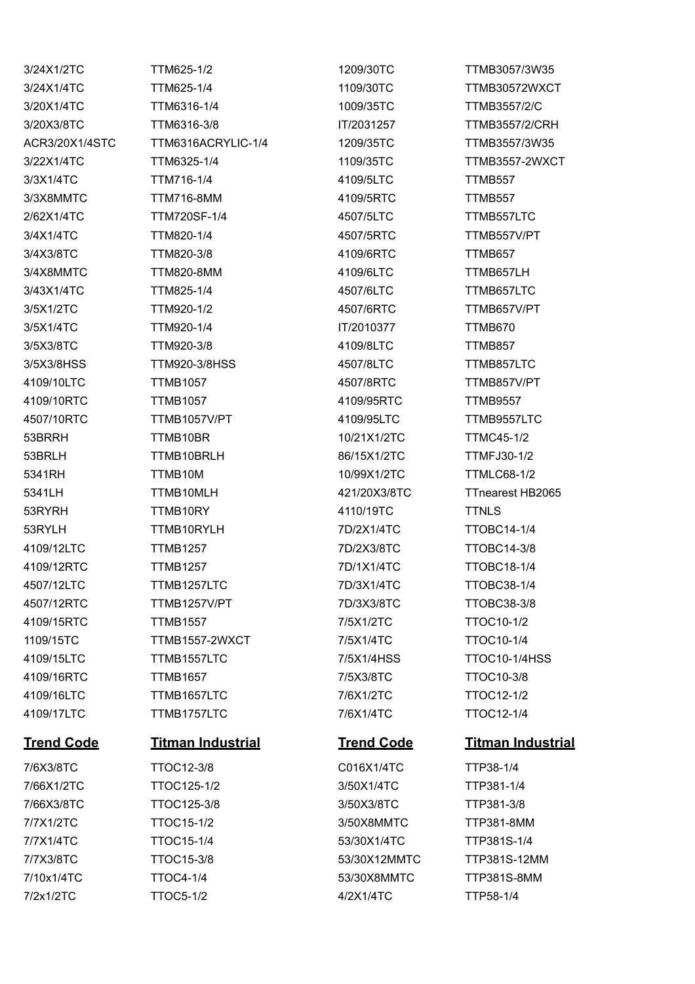3/24X1/2TC TTM625-1/2 1209/30TC TTMB3057/3W35 3/24X1/4TC TTM625-1/4 1109/30TC TTMB30572WXCT 3/20X1/4TC TTM6316-1/4 1009/35TC TTMB3557/2/C 3/20X3/8TC TTM6316-3/8 IT/2031257 TTMB3557/2/CRH ACR3/20X1/4STC TTM6316ACRYLIC-1/4 1209/35TC TTMB3557/3W35 3/22X1/4TC TTM6325-1/4 1109/35TC TTMB3557-2WXCT 3/3X1/4TC TTM716-1/4 4109/5LTC TTMB557 3/3X8MMTC TTM716-8MM 4109/5RTC TTMB557 2/62X1/4TC TTM720SF-1/4 4507/5LTC TTMB557LTC 3/4X1/4TC TTM820-1/4 4507/5RTC TTMB557V/PT 3/4X3/8TC TTM820-3/8 4109/6RTC TTMB657 3/4X8MMTC TTM820-8MM 4109/6LTC TTMB657LH 3/43X1/4TC TTM825-1/4 4507/6LTC TTMB657LTC 3/5X1/2TC TTM920-1/2 4507/6RTC TTMB657V/PT 3/5X1/4TC TTM920-1/4 IT/2010377 TTMB670 3/5X3/8TC TTM920-3/8 4109/8LTC TTMB857 3/5X3/8HSS TTM920-3/8HSS 4507/8LTC TTMB857LTC 4109/10LTC TTMB1057 4507/8RTC TTMB857V/PT 4109/10RTC TTMB1057 4109/95RTC TTMB9557 4507/10RTC TTMB1057V/PT 4109/95LTC TTMB9557LTC 53BRRH TTMB10BR 10/21X1/2TC TTMC45-1/2 53BRLH TTMB10BRLH 86/15X1/2TC TTMFJ30-1/2 5341RH TTMB10M 10/99X1/2TC TTMLC68-1/2 5341LH TTMB10MLH 421/20X3/8TC TTnearest HB2065 53RYRH TTMB10RY 4110/19TC TTNLS 53RYLH TTMB10RYLH 7D/2X1/4TC TTOBC14-1/4 4109/12LTC TTMB1257 7D/2X3/8TC TTOBC14-3/8 4109/12RTC TTMB1257 7D/1X1/4TC TTOBC18-1/4 4507/12LTC TTMB1257LTC 7D/3X1/4TC TTOBC38-1/4 4507/12RTC TTMB1257V/PT 7D/3X3/8TC TTOBC38-3/8 4109/15RTC TTMB1557 7/5X1/2TC TTOC10-1/2 1109/15TC TTMB1557-2WXCT 7/5X1/4TC TTOC10-1/4 4109/15LTC TTMB1557LTC 7/5X1/4HSS TTOC10-1/4HSS 4109/16RTC TTMB1657 7/5X3/8TC TTOC10-3/8 4109/16LTC TTMB1657LTC 7/6X1/2TC TTOC12-1/2 4109/17LTC TTMB1757LTC 7/6X1/4TC TTOC12-1/4 7/6X3/8TC TTOC12-3/8 C016X1/4TC TTP38-1/4 7/66X1/2TC TTOC125-1/2 3/50X1/4TC TTP381-1/4 7/66X3/8TC TTOC125-3/8 3/50X3/8TC TTP381-3/8 7/7X1/2TC TTOC15-1/2 3/50X8MMTC TTP381-8MM

7/7X1/4TC TTOC15-1/4 53/30X1/4TC TTP381S-1/4 7/10x1/4TC TTOC4-1/4 53/30X8MMTC TTP381S-8MM 7/2x1/2TC TTOC5-1/2 4/2X1/4TC TTP58-1/4

# **Trend Code Titman Industrial Trend Code Titman Industrial**

7/7X3/8TC TTOC15-3/8 53/30X12MMTC TTP381S-12MM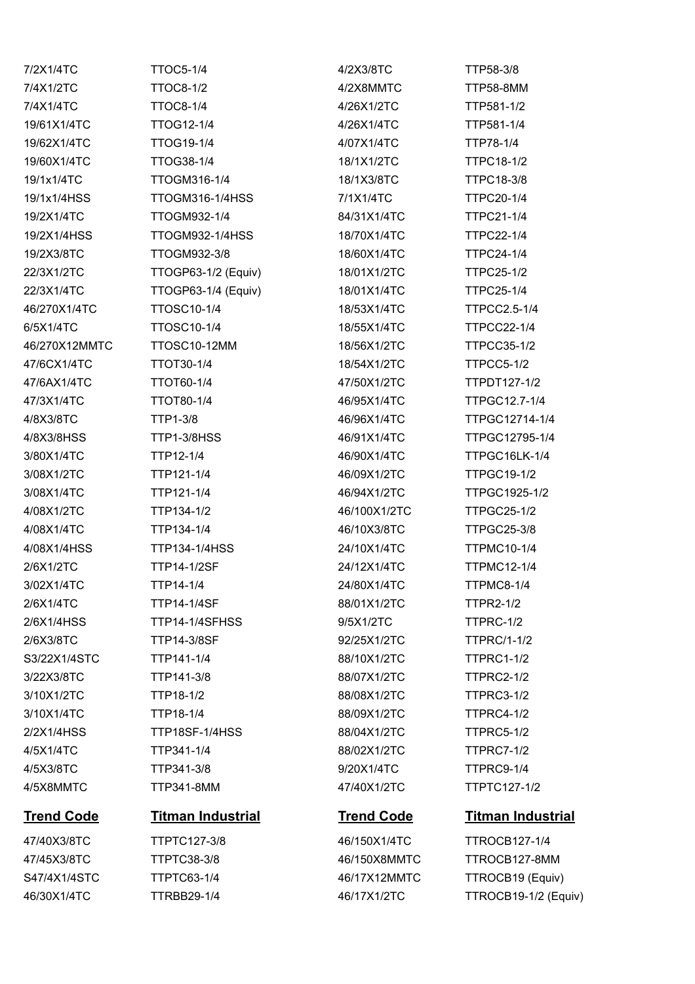| <b>Trend Code</b> | <b>Titman Industrial</b> | <b>Trend Code</b> | <b>Titman Industrial</b> |
|-------------------|--------------------------|-------------------|--------------------------|
| 4/5X8MMTC         | TTP341-8MM               | 47/40X1/2TC       | TTPTC127-1/2             |
| 4/5X3/8TC         | TTP341-3/8               | 9/20X1/4TC        | TTPRC9-1/4               |
| 4/5X1/4TC         | TTP341-1/4               | 88/02X1/2TC       | <b>TTPRC7-1/2</b>        |
| 2/2X1/4HSS        | TTP18SF-1/4HSS           | 88/04X1/2TC       | <b>TTPRC5-1/2</b>        |
| 3/10X1/4TC        | TTP18-1/4                | 88/09X1/2TC       | TTPRC4-1/2               |
| 3/10X1/2TC        | TTP18-1/2                | 88/08X1/2TC       | TTPRC3-1/2               |
| 3/22X3/8TC        | TTP141-3/8               | 88/07X1/2TC       | <b>TTPRC2-1/2</b>        |
| S3/22X1/4STC      | TTP141-1/4               | 88/10X1/2TC       | <b>TTPRC1-1/2</b>        |
| 2/6X3/8TC         | <b>TTP14-3/8SF</b>       | 92/25X1/2TC       | <b>TTPRC/1-1/2</b>       |
| 2/6X1/4HSS        | TTP14-1/4SFHSS           | 9/5X1/2TC         | TTPRC-1/2                |
| 2/6X1/4TC         | <b>TTP14-1/4SF</b>       | 88/01X1/2TC       | <b>TTPR2-1/2</b>         |
| 3/02X1/4TC        | TTP14-1/4                | 24/80X1/4TC       | TTPMC8-1/4               |
| 2/6X1/2TC         | <b>TTP14-1/2SF</b>       | 24/12X1/4TC       | <b>TTPMC12-1/4</b>       |
| 4/08X1/4HSS       | <b>TTP134-1/4HSS</b>     | 24/10X1/4TC       | <b>TTPMC10-1/4</b>       |
| 4/08X1/4TC        | TTP134-1/4               | 46/10X3/8TC       | <b>TTPGC25-3/8</b>       |
| 4/08X1/2TC        | TTP134-1/2               | 46/100X1/2TC      | <b>TTPGC25-1/2</b>       |
| 3/08X1/4TC        | TTP121-1/4               | 46/94X1/2TC       | TTPGC1925-1/2            |
| 3/08X1/2TC        | TTP121-1/4               | 46/09X1/2TC       | <b>TTPGC19-1/2</b>       |
| 3/80X1/4TC        | TTP12-1/4                | 46/90X1/4TC       | TTPGC16LK-1/4            |
| 4/8X3/8HSS        | TTP1-3/8HSS              | 46/91X1/4TC       | TTPGC12795-1/4           |
| 4/8X3/8TC         | <b>TTP1-3/8</b>          | 46/96X1/4TC       | TTPGC12714-1/4           |
| 47/3X1/4TC        | TTOT80-1/4               | 46/95X1/4TC       | TTPGC12.7-1/4            |
| 47/6AX1/4TC       | TTOT60-1/4               | 47/50X1/2TC       | TTPDT127-1/2             |
| 47/6CX1/4TC       | TTOT30-1/4               | 18/54X1/2TC       | TTPCC5-1/2               |
| 46/270X12MMTC     | TTOSC10-12MM             | 18/56X1/2TC       | <b>TTPCC35-1/2</b>       |
| 6/5X1/4TC         | <b>TTOSC10-1/4</b>       | 18/55X1/4TC       | <b>TTPCC22-1/4</b>       |
| 46/270X1/4TC      | <b>TTOSC10-1/4</b>       | 18/53X1/4TC       | <b>TTPCC2.5-1/4</b>      |
| 22/3X1/4TC        | TTOGP63-1/4 (Equiv)      | 18/01X1/4TC       | <b>TTPC25-1/4</b>        |
| 22/3X1/2TC        | TTOGP63-1/2 (Equiv)      | 18/01X1/2TC       | <b>TTPC25-1/2</b>        |
| 19/2X3/8TC        | TTOGM932-3/8             | 18/60X1/4TC       | <b>TTPC24-1/4</b>        |
| 19/2X1/4HSS       | TTOGM932-1/4HSS          | 18/70X1/4TC       | <b>TTPC22-1/4</b>        |
| 19/2X1/4TC        | TTOGM932-1/4             | 84/31X1/4TC       | <b>TTPC21-1/4</b>        |
| 19/1x1/4HSS       | <b>TTOGM316-1/4HSS</b>   | 7/1X1/4TC         | <b>TTPC20-1/4</b>        |
| 19/1x1/4TC        | TTOGM316-1/4             | 18/1X3/8TC        | <b>TTPC18-3/8</b>        |
| 19/60X1/4TC       | TTOG38-1/4               | 18/1X1/2TC        | <b>TTPC18-1/2</b>        |
| 19/62X1/4TC       | <b>TTOG19-1/4</b>        | 4/07X1/4TC        | TTP78-1/4                |
| 19/61X1/4TC       | <b>TTOG12-1/4</b>        | 4/26X1/4TC        | TTP581-1/4               |
| 7/4X1/4TC         | <b>TTOC8-1/4</b>         | 4/26X1/2TC        | TTP581-1/2               |
| 7/4X1/2TC         | <b>TTOC8-1/2</b>         | 4/2X8MMTC         | <b>TTP58-8MM</b>         |
| 7/2X1/4TC         | <b>TTOC5-1/4</b>         | 4/2X3/8TC         | TTP58-3/8                |

47/40X3/8TC TTPTC127-3/8 46/150X1/4TC TTROCB127-1/4

47/45X3/8TC TTPTC38-3/8 46/150X8MMTC TTROCB127-8MM S47/4X1/4STC TTPTC63-1/4 46/17X12MMTC TTROCB19 (Equiv) 46/30X1/4TC TTRBB29-1/4 46/17X1/2TC TTROCB19-1/2 (Equiv)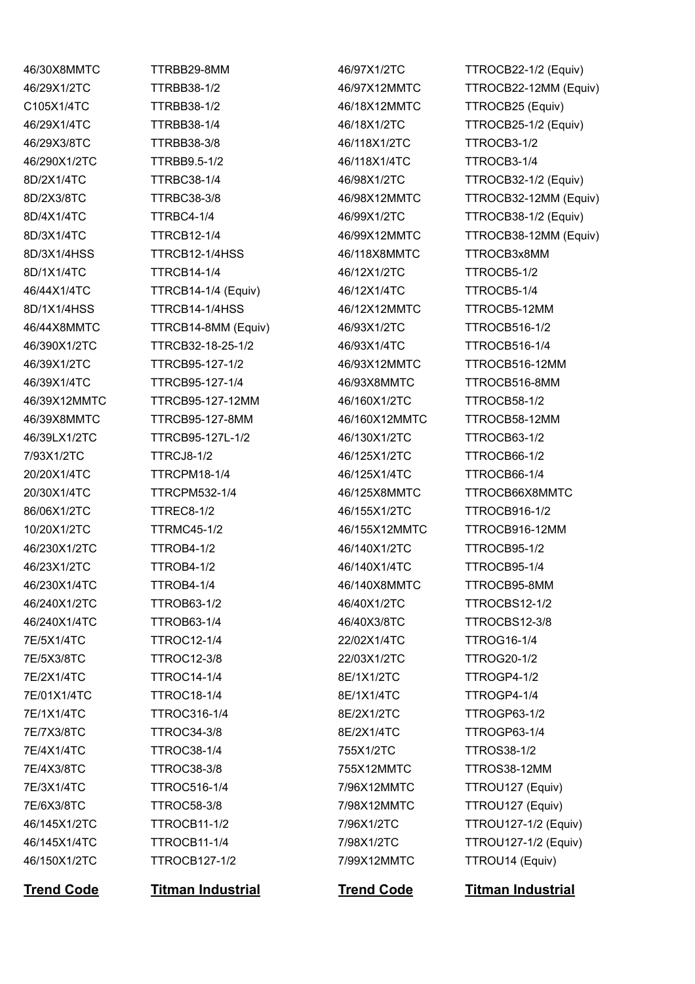C105X1/4TC TTRBB38-1/2 46/18X12MMTC TTROCB25 (Equiv) 46/29X3/8TC TTRBB38-3/8 46/118X1/2TC TTROCB3-1/2 46/290X1/2TC TTRBB9.5-1/2 46/118X1/4TC TTROCB3-1/4 8D/3X1/4HSS TTRCB12-1/4HSS 46/118X8MMTC TTROCB3x8MM 8D/1X1/4TC TTRCB14-1/4 46/12X1/2TC TTROCB5-1/2 46/44X1/4TC TTRCB14-1/4 (Equiv) 46/12X1/4TC TTROCB5-1/4 8D/1X1/4HSS TTRCB14-1/4HSS 46/12X12MMTC TTROCB5-12MM 46/44X8MMTC TTRCB14-8MM (Equiv) 46/93X1/2TC TTROCB516-1/2 46/390X1/2TC TTRCB32-18-25-1/2 46/93X1/4TC TTROCB516-1/4 46/39X1/2TC TTRCB95-127-1/2 46/93X12MMTC TTROCB516-12MM 46/39X1/4TC TTRCB95-127-1/4 46/93X8MMTC TTROCB516-8MM 46/39X12MMTC TTRCB95-127-12MM 46/160X1/2TC TTROCB58-1/2 46/39X8MMTC TTRCB95-127-8MM 46/160X12MMTC TTROCB58-12MM 46/39LX1/2TC TTRCB95-127L-1/2 46/130X1/2TC TTROCB63-1/2 7/93X1/2TC TTRCJ8-1/2 46/125X1/2TC TTROCB66-1/2 20/20X1/4TC TTRCPM18-1/4 46/125X1/4TC TTROCB66-1/4 86/06X1/2TC TTREC8-1/2 46/155X1/2TC TTROCB916-1/2 10/20X1/2TC TTRMC45-1/2 46/155X12MMTC TTROCB916-12MM 46/230X1/2TC TTROB4-1/2 46/140X1/2TC TTROCB95-1/2 46/23X1/2TC TTROB4-1/2 46/140X1/4TC TTROCB95-1/4 46/230X1/4TC TTROB4-1/4 46/140X8MMTC TTROCB95-8MM 46/240X1/2TC TTROB63-1/2 46/40X1/2TC TTROCBS12-1/2 46/240X1/4TC TTROB63-1/4 46/40X3/8TC TTROCBS12-3/8 7E/5X1/4TC TTROC12-1/4 22/02X1/4TC TTROG16-1/4 7E/5X3/8TC TTROC12-3/8 22/03X1/2TC TTROG20-1/2 7E/2X1/4TC TTROC14-1/4 8E/1X1/2TC TTROGP4-1/2 7E/01X1/4TC TTROC18-1/4 8E/1X1/4TC TTROGP4-1/4 7E/1X1/4TC TTROC316-1/4 8E/2X1/2TC TTROGP63-1/2 7E/7X3/8TC TTROC34-3/8 8E/2X1/4TC TTROGP63-1/4 7E/4X1/4TC TTROC38-1/4 755X1/2TC TTROS38-1/2 7E/4X3/8TC TTROC38-3/8 755X12MMTC TTROS38-12MM 7E/3X1/4TC TTROC516-1/4 7/96X12MMTC TTROU127 (Equiv) 7E/6X3/8TC TTROC58-3/8 7/98X12MMTC TTROU127 (Equiv) 46/150X1/2TC TTROCB127-1/2 7/99X12MMTC TTROU14 (Equiv)

46/30X8MMTC TTRBB29-8MM 46/97X1/2TC TTROCB22-1/2 (Equiv)

46/29X1/2TC TTRBB38-1/2 46/97X12MMTC TTROCB22-12MM (Equiv) 46/29X1/4TC TTRBB38-1/4 46/18X1/2TC TTROCB25-1/2 (Equiv) 8D/2X1/4TC TTRBC38-1/4 46/98X1/2TC TTROCB32-1/2 (Equiv) 8D/2X3/8TC TTRBC38-3/8 46/98X12MMTC TTROCB32-12MM (Equiv) 8D/4X1/4TC TTRBC4-1/4 46/99X1/2TC TTROCB38-1/2 (Equiv) 8D/3X1/4TC TTRCB12-1/4 46/99X12MMTC TTROCB38-12MM (Equiv) 20/30X1/4TC TTRCPM532-1/4 46/125X8MMTC TTROCB66X8MMTC 46/145X1/2TC TTROCB11-1/2 7/96X1/2TC TTROU127-1/2 (Equiv) 46/145X1/4TC TTROCB11-1/4 7/98X1/2TC TTROU127-1/2 (Equiv)

**Trend Code Titman Industrial Trend Code Titman Industrial**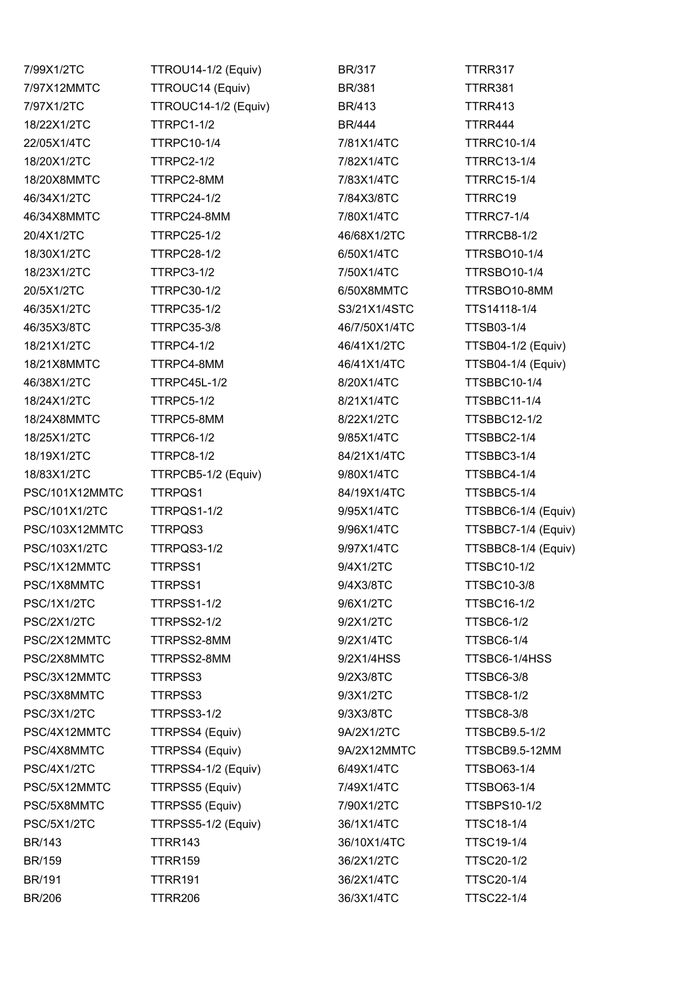7/99X1/2TC TTROU14-1/2 (Equiv) BR/317 TTRR317 7/97X12MMTC TTROUC14 (Equiv) BR/381 TTRR381 7/97X1/2TC TTROUC14-1/2 (Equiv) BR/413 TTRR413 18/22X1/2TC TTRPC1-1/2 BR/444 TTRR444 22/05X1/4TC TTRPC10-1/4 7/81X1/4TC TTRRC10-1/4 18/20X1/2TC TTRPC2-1/2 7/82X1/4TC TTRRC13-1/4 18/20X8MMTC TTRPC2-8MM 7/83X1/4TC TTRRC15-1/4 46/34X1/2TC TTRPC24-1/2 7/84X3/8TC TTRRC19 46/34X8MMTC TTRPC24-8MM 7/80X1/4TC TTRRC7-1/4 20/4X1/2TC TTRPC25-1/2 46/68X1/2TC TTRRCB8-1/2 18/30X1/2TC TTRPC28-1/2 6/50X1/4TC TTRSBO10-1/4 18/23X1/2TC TTRPC3-1/2 7/50X1/4TC TTRSBO10-1/4 20/5X1/2TC TTRPC30-1/2 6/50X8MMTC TTRSBO10-8MM 46/35X1/2TC TTRPC35-1/2 S3/21X1/4STC TTS14118-1/4 46/35X3/8TC TTRPC35-3/8 46/7/50X1/4TC TTSB03-1/4 18/21X1/2TC TTRPC4-1/2 46/41X1/2TC TTSB04-1/2 (Equiv) 18/21X8MMTC TTRPC4-8MM 46/41X1/4TC TTSB04-1/4 (Equiv) 46/38X1/2TC TTRPC45L-1/2 8/20X1/4TC TTSBBC10-1/4 18/24X1/2TC TTRPC5-1/2 8/21X1/4TC TTSBBC11-1/4 18/24X8MMTC TTRPC5-8MM 8/22X1/2TC TTSBBC12-1/2 18/25X1/2TC TTRPC6-1/2 9/85X1/4TC TTSBBC2-1/4 18/19X1/2TC TTRPC8-1/2 84/21X1/4TC TTSBBC3-1/4 18/83X1/2TC TTRPCB5-1/2 (Equiv) 9/80X1/4TC TTSBBC4-1/4 PSC/101X12MMTC TTRPQS1 84/19X1/4TC TTSBBC5-1/4 PSC/101X1/2TC TTRPQS1-1/2 9/95X1/4TC TTSBBC6-1/4 (Equiv) PSC/103X12MMTC TTRPQS3 9/96X1/4TC TTSBBC7-1/4 (Equiv) PSC/103X1/2TC TTRPQS3-1/2 9/97X1/4TC TTSBBC8-1/4 (Equiv) PSC/1X12MMTC TTRPSS1 9/4X1/2TC TTSBC10-1/2 PSC/1X8MMTC TTRPSS1 9/4X3/8TC TTSBC10-3/8 PSC/1X1/2TC TTRPSS1-1/2 9/6X1/2TC TTSBC16-1/2 PSC/2X1/2TC TTRPSS2-1/2 9/2X1/2TC TTSBC6-1/2 PSC/2X12MMTC TTRPSS2-8MM 9/2X1/4TC TTSBC6-1/4 PSC/2X8MMTC TTRPSS2-8MM 9/2X1/4HSS TTSBC6-1/4HSS PSC/3X12MMTC TTRPSS3 9/2X3/8TC TTSBC6-3/8 PSC/3X8MMTC TTRPSS3 9/3X1/2TC TTSBC8-1/2 PSC/3X1/2TC TTRPSS3-1/2 9/3X3/8TC TTSBC8-3/8 PSC/4X12MMTC TTRPSS4 (Equiv) 9A/2X1/2TC TTSBCB9.5-1/2 PSC/4X8MMTC TTRPSS4 (Equiv) 9A/2X12MMTC TTSBCB9.5-12MM PSC/4X1/2TC TTRPSS4-1/2 (Equiv) 6/49X1/4TC TTSBO63-1/4 PSC/5X12MMTC TTRPSS5 (Equiv) 7/49X1/4TC TTSBO63-1/4 PSC/5X8MMTC TTRPSS5 (Equiv) 7/90X1/2TC TTSBPS10-1/2 PSC/5X1/2TC TTRPSS5-1/2 (Equiv) 36/1X1/4TC TTSC18-1/4 BR/143 TTRR143 36/10X1/4TC TTSC19-1/4 BR/159 TTRR159 36/2X1/2TC TTSC20-1/2 BR/191 TTRR191 36/2X1/4TC TTSC20-1/4 BR/206 TTRR206 36/3X1/4TC TTSC22-1/4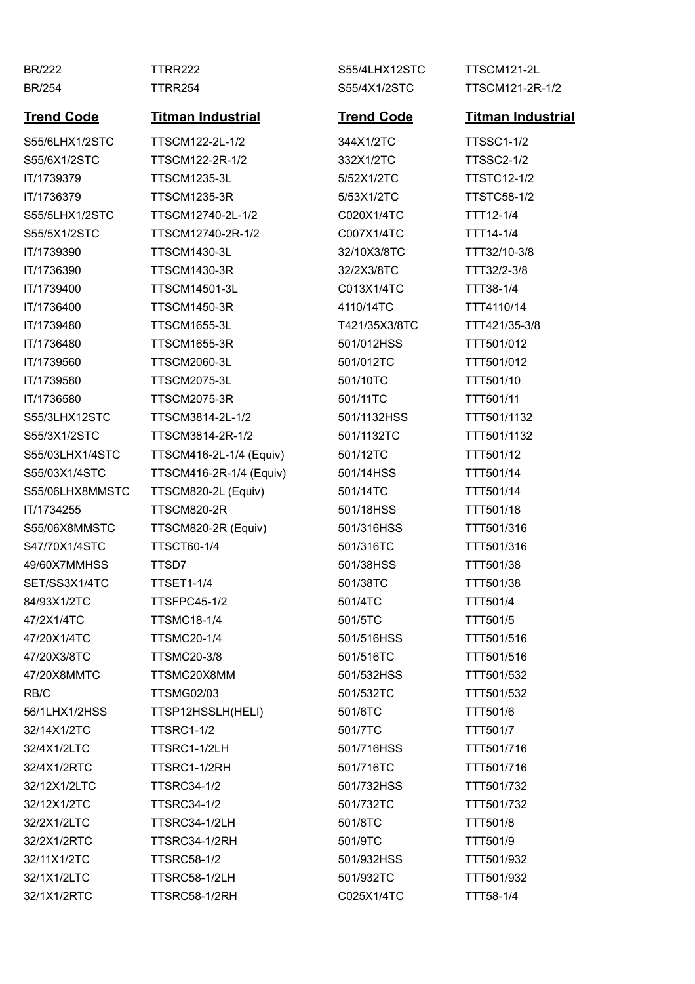## **Trend Code Titman Industrial Trend Code Titman Industrial**

S55/6LHX1/2STC TTSCM122-2L-1/2 344X1/2TC TTSSC1-1/2 S55/6X1/2STC TTSCM122-2R-1/2 332X1/2TC TTSSC2-1/2 IT/1739379 TTSCM1235-3L 5/52X1/2TC TTSTC12-1/2 IT/1736379 TTSCM1235-3R 5/53X1/2TC TTSTC58-1/2 S55/5LHX1/2STC TTSCM12740-2L-1/2 C020X1/4TC TTT12-1/4 S55/5X1/2STC TTSCM12740-2R-1/2 C007X1/4TC TTT14-1/4 IT/1739390 TTSCM1430-3L 32/10X3/8TC TTT32/10-3/8 IT/1736390 TTSCM1430-3R 32/2X3/8TC TTT32/2-3/8 IT/1739400 TTSCM14501-3L C013X1/4TC TTT38-1/4 IT/1736400 TTSCM1450-3R 4110/14TC TTT4110/14 IT/1739480 TTSCM1655-3L T421/35X3/8TC TTT421/35-3/8 IT/1736480 TTSCM1655-3R 501/012HSS TTT501/012 IT/1739560 TTSCM2060-3L 501/012TC TTT501/012 IT/1739580 TTSCM2075-3L 501/10TC TTT501/10 IT/1736580 TTSCM2075-3R 501/11TC TTT501/11 S55/3LHX12STC TTSCM3814-2L-1/2 501/1132HSS TTT501/1132 S55/3X1/2STC TTSCM3814-2R-1/2 501/1132TC TTT501/1132 S55/03LHX1/4STC TTSCM416-2L-1/4 (Equiv) 501/12TC TTT501/12 S55/03X1/4STC TTSCM416-2R-1/4 (Equiv) 501/14HSS TTT501/14 S55/06LHX8MMSTC TTSCM820-2L (Equiv) 501/14TC TTT501/14 IT/1734255 TTSCM820-2R 501/18HSS TTT501/18 S55/06X8MMSTC TTSCM820-2R (Equiv) 501/316HSS TTT501/316 S47/70X1/4STC TTSCT60-1/4 501/316TC TTT501/316 49/60X7MMHSS TTSD7 501/38HSS TTT501/38 SET/SS3X1/4TC TTSET1-1/4 501/38TC TTT501/38 84/93X1/2TC TTSFPC45-1/2 501/4TC TTT501/4 47/2X1/4TC TTSMC18-1/4 501/5TC TTT501/5 47/20X1/4TC TTSMC20-1/4 501/516HSS TTT501/516 47/20X3/8TC TTSMC20-3/8 501/516TC TTT501/516 47/20X8MMTC TTSMC20X8MM 501/532HSS TTT501/532 RB/C TTSMG02/03 501/532TC TTT501/532 56/1LHX1/2HSS TTSP12HSSLH(HELI) 501/6TC TTT501/6 32/14X1/2TC TTSRC1-1/2 501/7TC TTT501/7 32/4X1/2LTC TTSRC1-1/2LH 501/716HSS TTT501/716 32/4X1/2RTC TTSRC1-1/2RH 501/716TC TTT501/716 32/12X1/2LTC TTSRC34-1/2 501/732HSS TTT501/732 32/12X1/2TC TTSRC34-1/2 501/732TC TTT501/732 32/2X1/2LTC TTSRC34-1/2LH 501/8TC TTT501/8 32/2X1/2RTC TTSRC34-1/2RH 501/9TC TTT501/9 32/11X1/2TC TTSRC58-1/2 501/932HSS TTT501/932 32/1X1/2LTC TTSRC58-1/2LH 501/932TC TTT501/932 32/1X1/2RTC TTSRC58-1/2RH C025X1/4TC TTT58-1/4

BR/222 TTRR222 S55/4LHX12STC TTSCM121-2L

BR/254 TTRR254 S55/4X1/2STC TTSCM121-2R-1/2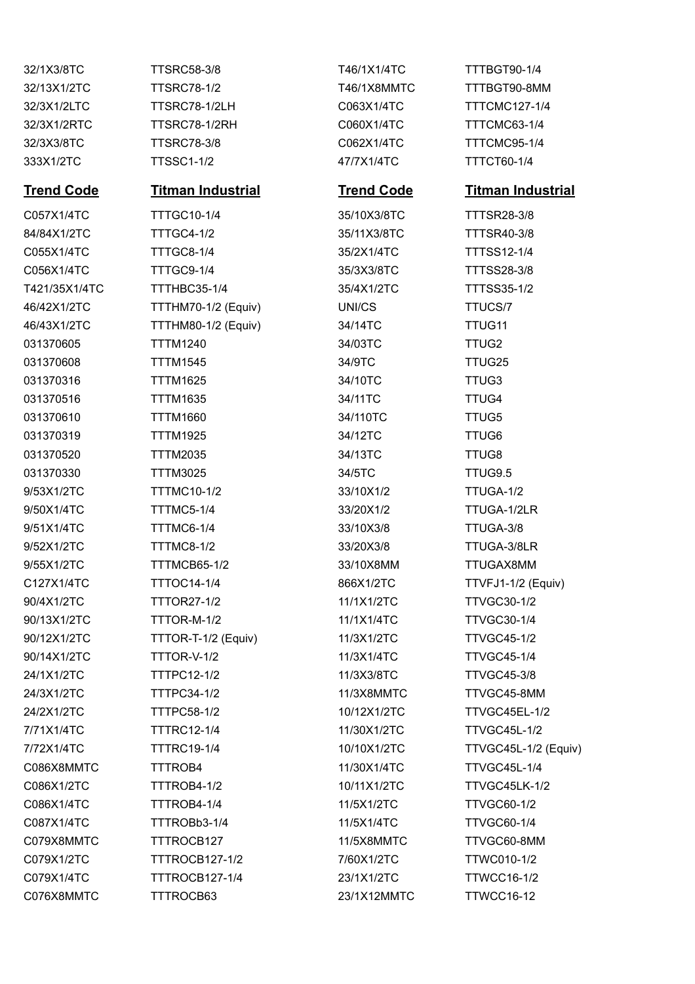32/1X3/8TC TTSRC58-3/8 T46/1X1/4TC TTTBGT90-1/4 32/13X1/2TC TTSRC78-1/2 T46/1X8MMTC TTTBGT90-8MM 32/3X1/2LTC TTSRC78-1/2LH C063X1/4TC TTTCMC127-1/4 32/3X1/2RTC TTSRC78-1/2RH C060X1/4TC TTTCMC63-1/4 32/3X3/8TC TTSRC78-3/8 C062X1/4TC TTTCMC95-1/4 333X1/2TC TTSSC1-1/2 47/7X1/4TC TTTCT60-1/4

C057X1/4TC TTTGC10-1/4 35/10X3/8TC TTTSR28-3/8 84/84X1/2TC TTTGC4-1/2 35/11X3/8TC TTTSR40-3/8 C055X1/4TC TTTGC8-1/4 35/2X1/4TC TTTSS12-1/4 C056X1/4TC TTTGC9-1/4 35/3X3/8TC TTTSS28-3/8 T421/35X1/4TC TTTHBC35-1/4 35/4X1/2TC TTTSS35-1/2 46/42X1/2TC TTTHM70-1/2 (Equiv) UNI/CS TTUCS/7 46/43X1/2TC TTTHM80-1/2 (Equiv) 34/14TC TTUG11 031370605 TTTM1240 34/03TC TTUG2 031370608 TTTM1545 34/9TC TTUG25 031370316 TTTM1625 34/10TC TTUG3 031370516 TTTM1635 34/11TC TTUG4 031370610 TTTM1660 34/110TC TTUG5 031370319 TTTM1925 34/12TC TTUG6 031370520 TTTM2035 34/13TC TTUG8 031370330 TTTM3025 34/5TC TTUG9.5 9/53X1/2TC TTTMC10-1/2 33/10X1/2 TTUGA-1/2 9/50X1/4TC TTTMC5-1/4 33/20X1/2 TTUGA-1/2LR 9/51X1/4TC TTTMC6-1/4 33/10X3/8 TTUGA-3/8 9/52X1/2TC TTTMC8-1/2 33/20X3/8 TTUGA-3/8LR 9/55X1/2TC TTTMCB65-1/2 33/10X8MM TTUGAX8MM C127X1/4TC TTTOC14-1/4 866X1/2TC TTVFJ1-1/2 (Equiv) 90/4X1/2TC TTTOR27-1/2 11/1X1/2TC TTVGC30-1/2 90/13X1/2TC TTTOR-M-1/2 11/1X1/4TC TTVGC30-1/4 90/12X1/2TC TTTOR-T-1/2 (Equiv) 11/3X1/2TC TTVGC45-1/2 90/14X1/2TC TTTOR-V-1/2 11/3X1/4TC TTVGC45-1/4 24/1X1/2TC TTTPC12-1/2 11/3X3/8TC TTVGC45-3/8 24/3X1/2TC TTTPC34-1/2 11/3X8MMTC TTVGC45-8MM 24/2X1/2TC TTTPC58-1/2 10/12X1/2TC TTVGC45EL-1/2 7/71X1/4TC TTTRC12-1/4 11/30X1/2TC TTVGC45L-1/2 7/72X1/4TC TTTRC19-1/4 10/10X1/2TC TTVGC45L-1/2 (Equiv) C086X8MMTC TTTROB4 11/30X1/4TC TTVGC45L-1/4 C086X1/2TC TTTROB4-1/2 10/11X1/2TC TTVGC45LK-1/2 C086X1/4TC TTTROB4-1/4 11/5X1/2TC TTVGC60-1/2 C087X1/4TC TTTROBb3-1/4 11/5X1/4TC TTVGC60-1/4 C079X8MMTC TTTROCB127 11/5X8MMTC TTVGC60-8MM C079X1/2TC TTTROCB127-1/2 7/60X1/2TC TTWC010-1/2 C079X1/4TC TTTROCB127-1/4 23/1X1/2TC TTWCC16-1/2 C076X8MMTC TTTROCB63 23/1X12MMTC TTWCC16-12

### **Trend Code Titman Industrial Trend Code Titman Industrial**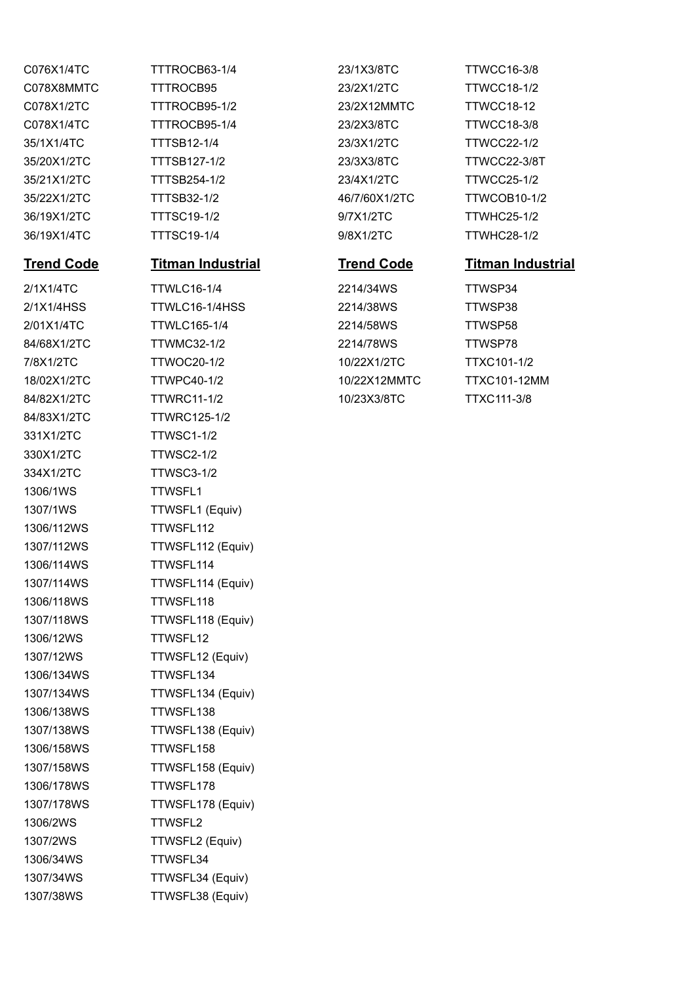331X1/2TC TTWSC1-1/2 330X1/2TC TTWSC2-1/2 334X1/2TC TTWSC3-1/2 1306/1WS TTWSFL1 1306/112WS TTWSFL112 1306/114WS TTWSFL114 1306/118WS TTWSFL118 1306/12WS TTWSFL12 1306/134WS TTWSFL134 1306/138WS TTWSFL138 1306/158WS TTWSFL158 1306/178WS TTWSFL178 1306/2WS TTWSFL2 1306/34WS TTWSFL34

C078X8MMTC TTTROCB95 23/2X1/2TC TTWCC18-1/2 C078X1/2TC TTTROCB95-1/2 23/2X12MMTC TTWCC18-12 C078X1/4TC TTTROCB95-1/4 23/2X3/8TC TTWCC18-3/8 35/1X1/4TC TTTSB12-1/4 23/3X1/2TC TTWCC22-1/2 35/20X1/2TC TTTSB127-1/2 23/3X3/8TC TTWCC22-3/8T 35/21X1/2TC TTTSB254-1/2 23/4X1/2TC TTWCC25-1/2 35/22X1/2TC TTTSB32-1/2 46/7/60X1/2TC TTWCOB10-1/2 36/19X1/2TC TTTSC19-1/2 9/7X1/2TC TTWHC25-1/2 36/19X1/4TC TTTSC19-1/4 9/8X1/2TC TTWHC28-1/2

## **Trend Code Titman Industrial Trend Code Titman Industrial**

2/1X1/4TC TTWLC16-1/4 2214/34WS TTWSP34 2/1X1/4HSS TTWLC16-1/4HSS 2214/38WS TTWSP38 2/01X1/4TC TTWLC165-1/4 2214/58WS TTWSP58 84/68X1/2TC TTWMC32-1/2 2214/78WS TTWSP78 7/8X1/2TC TTWOC20-1/2 10/22X1/2TC TTXC101-1/2 18/02X1/2TC TTWPC40-1/2 10/22X12MMTC TTXC101-12MM 84/82X1/2TC TTWRC11-1/2 10/23X3/8TC TTXC111-3/8 84/83X1/2TC TTWRC125-1/2 1307/1WS TTWSFL1 (Equiv) 1307/112WS TTWSFL112 (Equiv) 1307/114WS TTWSFL114 (Equiv) 1307/118WS TTWSFL118 (Equiv) 1307/12WS TTWSFL12 (Equiv) 1307/134WS TTWSFL134 (Equiv) 1307/138WS TTWSFL138 (Equiv) 1307/158WS TTWSFL158 (Equiv) 1307/178WS TTWSFL178 (Equiv) 1307/2WS TTWSFL2 (Equiv) 1307/34WS TTWSFL34 (Equiv) 1307/38WS TTWSFL38 (Equiv)

C076X1/4TC TTTROCB63-1/4 23/1X3/8TC TTWCC16-3/8